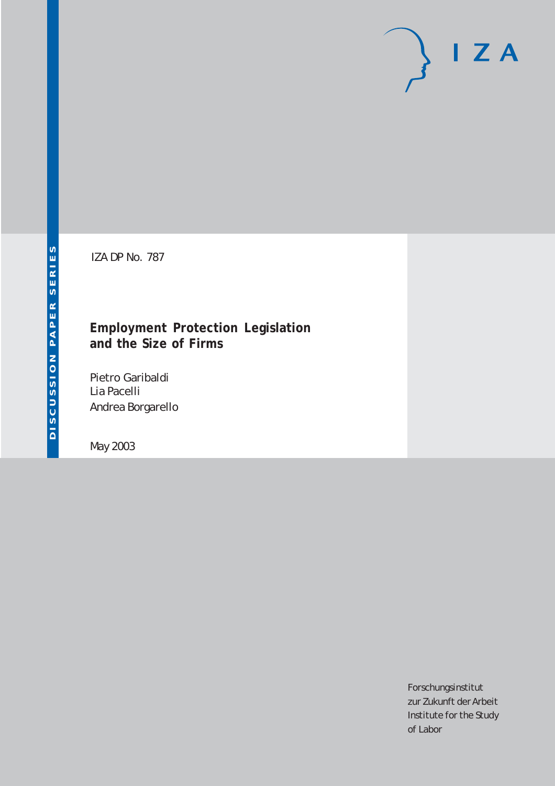# $I Z A$

IZA DP No. 787

## **Employment Protection Legislation and the Size of Firms**

Pietro Garibaldi Lia Pacelli Andrea Borgarello

May 2003

Forschungsinstitut zur Zukunft der Arbeit Institute for the Study of Labor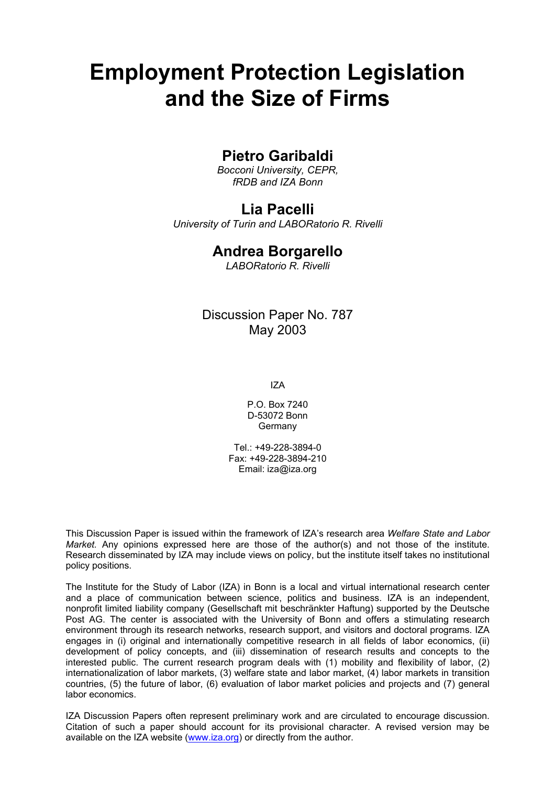# **Employment Protection Legislation and the Size of Firms**

## **Pietro Garibaldi**

*Bocconi University, CEPR, fRDB and IZA Bonn* 

## **Lia Pacelli**

*University of Turin and LABORatorio R. Rivelli*

## **Andrea Borgarello**

*LABORatorio R. Rivelli* 

## Discussion Paper No. 787 May 2003

IZA

P.O. Box 7240 D-53072 Bonn Germany

Tel.: +49-228-3894-0 Fax: +49-228-3894-210 Email: [iza@iza.org](mailto:iza@iza.org)

This Discussion Paper is issued within the framework of IZA's research area *Welfare State and Labor Market.* Any opinions expressed here are those of the author(s) and not those of the institute. Research disseminated by IZA may include views on policy, but the institute itself takes no institutional policy positions.

The Institute for the Study of Labor (IZA) in Bonn is a local and virtual international research center and a place of communication between science, politics and business. IZA is an independent, nonprofit limited liability company (Gesellschaft mit beschränkter Haftung) supported by the Deutsche Post AG. The center is associated with the University of Bonn and offers a stimulating research environment through its research networks, research support, and visitors and doctoral programs. IZA engages in (i) original and internationally competitive research in all fields of labor economics, (ii) development of policy concepts, and (iii) dissemination of research results and concepts to the interested public. The current research program deals with (1) mobility and flexibility of labor, (2) internationalization of labor markets, (3) welfare state and labor market, (4) labor markets in transition countries, (5) the future of labor, (6) evaluation of labor market policies and projects and (7) general labor economics.

IZA Discussion Papers often represent preliminary work and are circulated to encourage discussion. Citation of such a paper should account for its provisional character. A revised version may be available on the IZA website ([www.iza.org](http://www.iza.org/)) or directly from the author.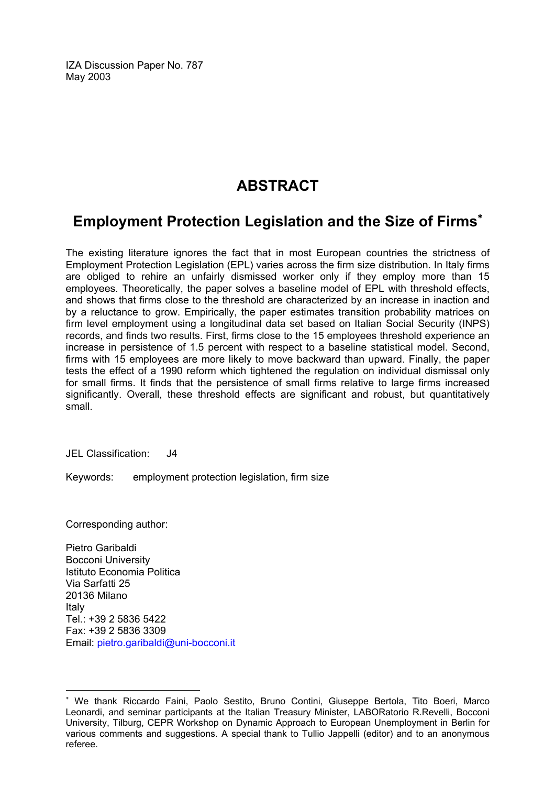IZA Discussion Paper No. 787 May 2003

## **ABSTRACT**

## **Employment Protection Legislation and the Size of Firms**[∗](#page-2-0)

The existing literature ignores the fact that in most European countries the strictness of Employment Protection Legislation (EPL) varies across the firm size distribution. In Italy firms are obliged to rehire an unfairly dismissed worker only if they employ more than 15 employees. Theoretically, the paper solves a baseline model of EPL with threshold effects, and shows that firms close to the threshold are characterized by an increase in inaction and by a reluctance to grow. Empirically, the paper estimates transition probability matrices on firm level employment using a longitudinal data set based on Italian Social Security (INPS) records, and finds two results. First, firms close to the 15 employees threshold experience an increase in persistence of 1.5 percent with respect to a baseline statistical model. Second, firms with 15 employees are more likely to move backward than upward. Finally, the paper tests the effect of a 1990 reform which tightened the regulation on individual dismissal only for small firms. It finds that the persistence of small firms relative to large firms increased significantly. Overall, these threshold effects are significant and robust, but quantitatively small.

JEL Classification: J4

Keywords: employment protection legislation, firm size

Corresponding author:

 $\overline{a}$ 

Pietro Garibaldi Bocconi University Istituto Economia Politica Via Sarfatti 25 20136 Milano Italy Tel.: +39 2 5836 5422 Fax: +39 2 5836 3309 Email: [pietro.garibaldi@uni-bocconi.it](mailto:pietro.garibaldi@uni-bocconi.it)

<span id="page-2-0"></span><sup>∗</sup> We thank Riccardo Faini, Paolo Sestito, Bruno Contini, Giuseppe Bertola, Tito Boeri, Marco Leonardi, and seminar participants at the Italian Treasury Minister, LABORatorio R.Revelli, Bocconi University, Tilburg, CEPR Workshop on Dynamic Approach to European Unemployment in Berlin for various comments and suggestions. A special thank to Tullio Jappelli (editor) and to an anonymous referee.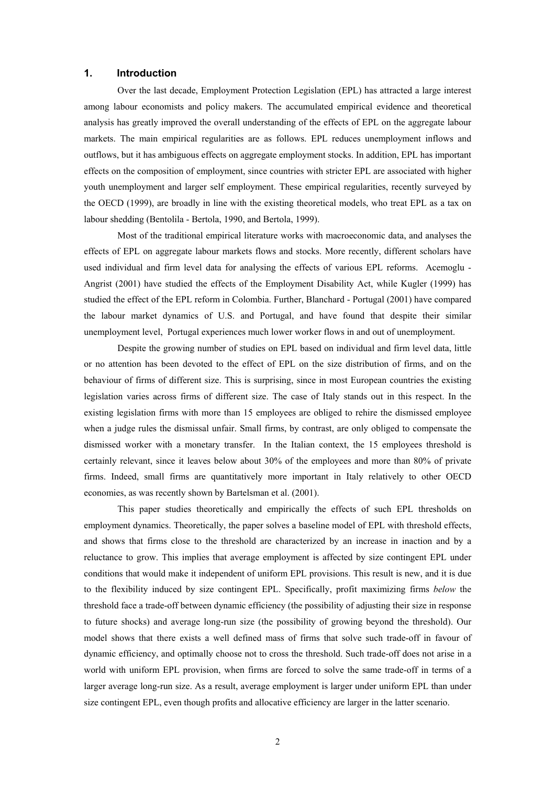#### **1. Introduction**

Over the last decade, Employment Protection Legislation (EPL) has attracted a large interest among labour economists and policy makers. The accumulated empirical evidence and theoretical analysis has greatly improved the overall understanding of the effects of EPL on the aggregate labour markets. The main empirical regularities are as follows. EPL reduces unemployment inflows and outflows, but it has ambiguous effects on aggregate employment stocks. In addition, EPL has important effects on the composition of employment, since countries with stricter EPL are associated with higher youth unemployment and larger self employment. These empirical regularities, recently surveyed by the OECD (1999), are broadly in line with the existing theoretical models, who treat EPL as a tax on labour shedding (Bentolila - Bertola, 1990, and Bertola, 1999).

 Most of the traditional empirical literature works with macroeconomic data, and analyses the effects of EPL on aggregate labour markets flows and stocks. More recently, different scholars have used individual and firm level data for analysing the effects of various EPL reforms. Acemoglu - Angrist (2001) have studied the effects of the Employment Disability Act, while Kugler (1999) has studied the effect of the EPL reform in Colombia. Further, Blanchard - Portugal (2001) have compared the labour market dynamics of U.S. and Portugal, and have found that despite their similar unemployment level, Portugal experiences much lower worker flows in and out of unemployment.

Despite the growing number of studies on EPL based on individual and firm level data, little or no attention has been devoted to the effect of EPL on the size distribution of firms, and on the behaviour of firms of different size. This is surprising, since in most European countries the existing legislation varies across firms of different size. The case of Italy stands out in this respect. In the existing legislation firms with more than 15 employees are obliged to rehire the dismissed employee when a judge rules the dismissal unfair. Small firms, by contrast, are only obliged to compensate the dismissed worker with a monetary transfer. In the Italian context, the 15 employees threshold is certainly relevant, since it leaves below about 30% of the employees and more than 80% of private firms. Indeed, small firms are quantitatively more important in Italy relatively to other OECD economies, as was recently shown by Bartelsman et al. (2001).

This paper studies theoretically and empirically the effects of such EPL thresholds on employment dynamics. Theoretically, the paper solves a baseline model of EPL with threshold effects, and shows that firms close to the threshold are characterized by an increase in inaction and by a reluctance to grow. This implies that average employment is affected by size contingent EPL under conditions that would make it independent of uniform EPL provisions. This result is new, and it is due to the flexibility induced by size contingent EPL. Specifically, profit maximizing firms *below* the threshold face a trade-off between dynamic efficiency (the possibility of adjusting their size in response to future shocks) and average long-run size (the possibility of growing beyond the threshold). Our model shows that there exists a well defined mass of firms that solve such trade-off in favour of dynamic efficiency, and optimally choose not to cross the threshold. Such trade-off does not arise in a world with uniform EPL provision, when firms are forced to solve the same trade-off in terms of a larger average long-run size. As a result, average employment is larger under uniform EPL than under size contingent EPL, even though profits and allocative efficiency are larger in the latter scenario.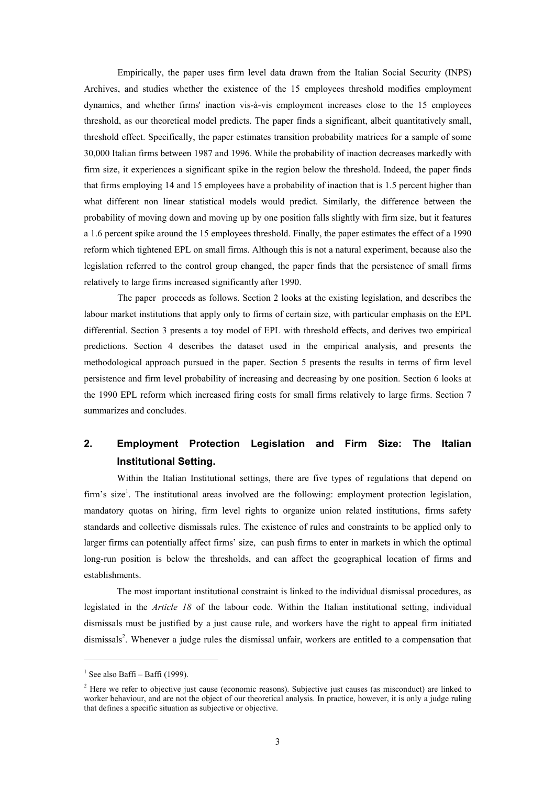Empirically, the paper uses firm level data drawn from the Italian Social Security (INPS) Archives, and studies whether the existence of the 15 employees threshold modifies employment dynamics, and whether firms' inaction vis-à-vis employment increases close to the 15 employees threshold, as our theoretical model predicts. The paper finds a significant, albeit quantitatively small, threshold effect. Specifically, the paper estimates transition probability matrices for a sample of some 30,000 Italian firms between 1987 and 1996. While the probability of inaction decreases markedly with firm size, it experiences a significant spike in the region below the threshold. Indeed, the paper finds that firms employing 14 and 15 employees have a probability of inaction that is 1.5 percent higher than what different non linear statistical models would predict. Similarly, the difference between the probability of moving down and moving up by one position falls slightly with firm size, but it features a 1.6 percent spike around the 15 employees threshold. Finally, the paper estimates the effect of a 1990 reform which tightened EPL on small firms. Although this is not a natural experiment, because also the legislation referred to the control group changed, the paper finds that the persistence of small firms relatively to large firms increased significantly after 1990.

The paper proceeds as follows. Section 2 looks at the existing legislation, and describes the labour market institutions that apply only to firms of certain size, with particular emphasis on the EPL differential. Section 3 presents a toy model of EPL with threshold effects, and derives two empirical predictions. Section 4 describes the dataset used in the empirical analysis, and presents the methodological approach pursued in the paper. Section 5 presents the results in terms of firm level persistence and firm level probability of increasing and decreasing by one position. Section 6 looks at the 1990 EPL reform which increased firing costs for small firms relatively to large firms. Section 7 summarizes and concludes.

## **2. Employment Protection Legislation and Firm Size: The Italian Institutional Setting.**

Within the Italian Institutional settings, there are five types of regulations that depend on firm's size<sup>1</sup>. The institutional areas involved are the following: employment protection legislation, mandatory quotas on hiring, firm level rights to organize union related institutions, firms safety standards and collective dismissals rules. The existence of rules and constraints to be applied only to larger firms can potentially affect firms' size, can push firms to enter in markets in which the optimal long-run position is below the thresholds, and can affect the geographical location of firms and establishments.

The most important institutional constraint is linked to the individual dismissal procedures, as legislated in the *Article 18* of the labour code. Within the Italian institutional setting, individual dismissals must be justified by a just cause rule, and workers have the right to appeal firm initiated dismissals<sup>2</sup>. Whenever a judge rules the dismissal unfair, workers are entitled to a compensation that

 $1$  See also Baffi – Baffi (1999).

 $2$  Here we refer to objective just cause (economic reasons). Subjective just causes (as misconduct) are linked to worker behaviour, and are not the object of our theoretical analysis. In practice, however, it is only a judge ruling that defines a specific situation as subjective or objective.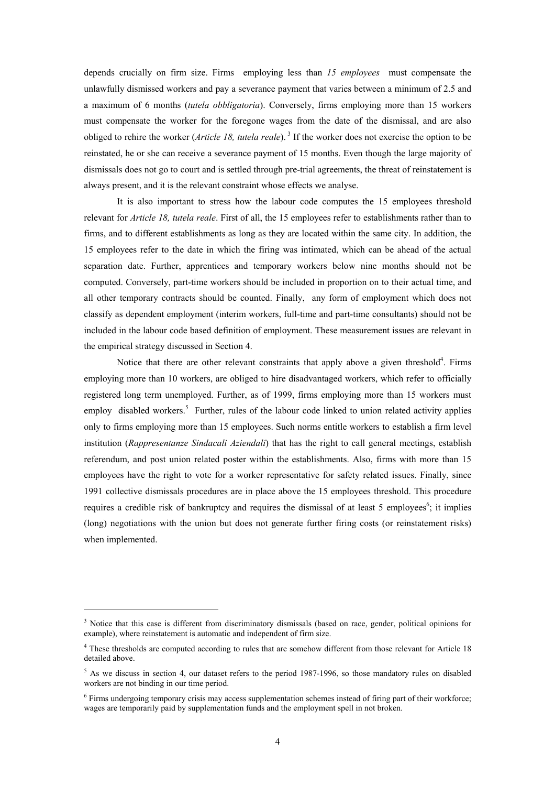depends crucially on firm size. Firms employing less than *15 employees* must compensate the unlawfully dismissed workers and pay a severance payment that varies between a minimum of 2.5 and a maximum of 6 months (*tutela obbligatoria*). Conversely, firms employing more than 15 workers must compensate the worker for the foregone wages from the date of the dismissal, and are also obliged to rehire the worker (*Article 18, tutela reale*). 3 If the worker does not exercise the option to be reinstated, he or she can receive a severance payment of 15 months. Even though the large majority of dismissals does not go to court and is settled through pre-trial agreements, the threat of reinstatement is always present, and it is the relevant constraint whose effects we analyse.

It is also important to stress how the labour code computes the 15 employees threshold relevant for *Article 18, tutela reale*. First of all, the 15 employees refer to establishments rather than to firms, and to different establishments as long as they are located within the same city. In addition, the 15 employees refer to the date in which the firing was intimated, which can be ahead of the actual separation date. Further, apprentices and temporary workers below nine months should not be computed. Conversely, part-time workers should be included in proportion on to their actual time, and all other temporary contracts should be counted. Finally, any form of employment which does not classify as dependent employment (interim workers, full-time and part-time consultants) should not be included in the labour code based definition of employment. These measurement issues are relevant in the empirical strategy discussed in Section 4.

Notice that there are other relevant constraints that apply above a given threshold<sup>4</sup>. Firms employing more than 10 workers, are obliged to hire disadvantaged workers, which refer to officially registered long term unemployed. Further, as of 1999, firms employing more than 15 workers must employ disabled workers.<sup>5</sup> Further, rules of the labour code linked to union related activity applies only to firms employing more than 15 employees. Such norms entitle workers to establish a firm level institution (*Rappresentanze Sindacali Aziendali*) that has the right to call general meetings, establish referendum, and post union related poster within the establishments. Also, firms with more than 15 employees have the right to vote for a worker representative for safety related issues. Finally, since 1991 collective dismissals procedures are in place above the 15 employees threshold. This procedure requires a credible risk of bankruptcy and requires the dismissal of at least 5 employees<sup>6</sup>; it implies (long) negotiations with the union but does not generate further firing costs (or reinstatement risks) when implemented.

<sup>&</sup>lt;sup>3</sup> Notice that this case is different from discriminatory dismissals (based on race, gender, political opinions for example), where reinstatement is automatic and independent of firm size.

<sup>&</sup>lt;sup>4</sup> These thresholds are computed according to rules that are somehow different from those relevant for Article 18 detailed above.

 $5$  As we discuss in section 4, our dataset refers to the period 1987-1996, so those mandatory rules on disabled workers are not binding in our time period.

<sup>&</sup>lt;sup>6</sup> Firms undergoing temporary crisis may access supplementation schemes instead of firing part of their workforce; wages are temporarily paid by supplementation funds and the employment spell in not broken.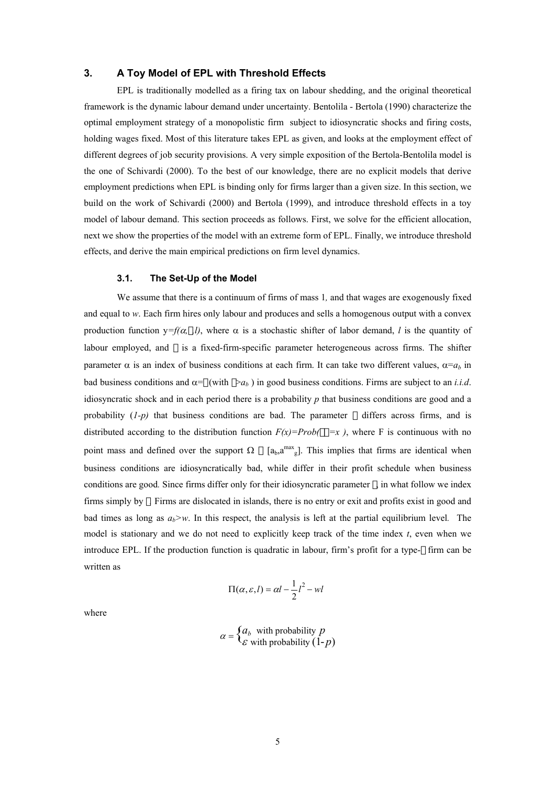#### **3. A Toy Model of EPL with Threshold Effects**

EPL is traditionally modelled as a firing tax on labour shedding, and the original theoretical framework is the dynamic labour demand under uncertainty. Bentolila - Bertola (1990) characterize the optimal employment strategy of a monopolistic firm subject to idiosyncratic shocks and firing costs, holding wages fixed. Most of this literature takes EPL as given, and looks at the employment effect of different degrees of job security provisions. A very simple exposition of the Bertola-Bentolila model is the one of Schivardi (2000). To the best of our knowledge, there are no explicit models that derive employment predictions when EPL is binding only for firms larger than a given size. In this section, we build on the work of Schivardi (2000) and Bertola (1999), and introduce threshold effects in a toy model of labour demand. This section proceeds as follows. First, we solve for the efficient allocation, next we show the properties of the model with an extreme form of EPL. Finally, we introduce threshold effects, and derive the main empirical predictions on firm level dynamics.

#### **3.1. The Set-Up of the Model**

We assume that there is a continuum of firms of mass 1*,* and that wages are exogenously fixed and equal to *w*. Each firm hires only labour and produces and sells a homogenous output with a convex production function  $y=f(\alpha, l)$ , where  $\alpha$  is a stochastic shifter of labor demand, *l* is the quantity of labour employed, and is a fixed-firm-specific parameter heterogeneous across firms. The shifter parameter  $\alpha$  is an index of business conditions at each firm. It can take two different values,  $\alpha = a_b$  in bad business conditions and  $\alpha =$  (with  $\alpha_b$ ) in good business conditions. Firms are subject to an *i.i.d.* idiosyncratic shock and in each period there is a probability *p* that business conditions are good and a probability (*1-p)* that business conditions are bad. The parameter differs across firms, and is distributed according to the distribution function  $F(x)=Prob($  =x ), where F is continuous with no point mass and defined over the support  $\Omega$  [a<sub>b</sub>,a<sup>max</sup><sub>g</sub>]. This implies that firms are identical when business conditions are idiosyncratically bad, while differ in their profit schedule when business conditions are good*.* Since firms differ only for their idiosyncratic parameter , in what follow we index firms simply by *.* Firms are dislocated in islands, there is no entry or exit and profits exist in good and bad times as long as  $a_b > w$ . In this respect, the analysis is left at the partial equilibrium level. The model is stationary and we do not need to explicitly keep track of the time index *t*, even when we introduce EPL. If the production function is quadratic in labour, firm's profit for a type- firm can be written as

$$
\Pi(\alpha, \varepsilon, l) = \alpha l - \frac{1}{2}l^2 - \nu l
$$

where

$$
\alpha = \begin{cases} a_b & \text{with probability } p \\ \varepsilon & \text{with probability } (1-p) \end{cases}
$$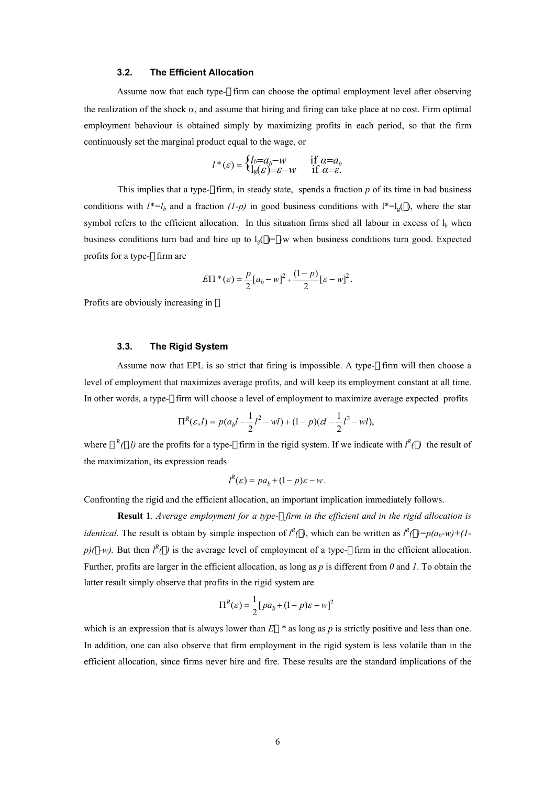#### **3.2. The Efficient Allocation**

Assume now that each type- firm can choose the optimal employment level after observing the realization of the shock  $\alpha$ , and assume that hiring and firing can take place at no cost. Firm optimal employment behaviour is obtained simply by maximizing profits in each period, so that the firm continuously set the marginal product equal to the wage, or

$$
l^*(\varepsilon) = \begin{cases} l_b = a_b - w & \text{if } \alpha = a_b \\ l_g(\varepsilon) = \varepsilon - w & \text{if } \alpha = \varepsilon. \end{cases}
$$

This implies that a type- firm, in steady state, spends a fraction *p* of its time in bad business conditions with  $l^* = l_b$  and a fraction  $(l-p)$  in good business conditions with  $l^* = l_g$  ), where the star symbol refers to the efficient allocation. In this situation firms shed all labour in excess of  $l<sub>b</sub>$  when business conditions turn bad and hire up to  $l_g$  = -w when business conditions turn good. Expected profits for a type- firm are

$$
E\Pi^{*}(\varepsilon) = \frac{p}{2}[a_b - w]^2 + \frac{(1-p)}{2}[\varepsilon - w]^2.
$$

Profits are obviously increasing in .

#### **3.3. The Rigid System**

Assume now that EPL is so strict that firing is impossible. A type- firm will then choose a level of employment that maximizes average profits, and will keep its employment constant at all time. In other words, a type- firm will choose a level of employment to maximize average expected profits

$$
\Pi^{R}(\varepsilon, l) = p(a_{b}l - \frac{1}{2}l^{2} - wl) + (1 - p)(\varepsilon l - \frac{1}{2}l^{2} - wl),
$$

where  $R(A)$  are the profits for a type- firm in the rigid system. If we indicate with  $I^R(A)$  the result of the maximization, its expression reads

$$
l^{R}(\varepsilon) = pa_{b} + (1 - p)\varepsilon - w.
$$

Confronting the rigid and the efficient allocation, an important implication immediately follows.

**Result 1**. *Average employment for a type- firm in the efficient and in the rigid allocation is identical.* The result is obtain by simple inspection of  $l^R( )$ , which can be written as  $l^R( )=p(a_b-w)+(l$  $p$ )( *-w*). But then  $l^R$ ( ) is the average level of employment of a type- firm in the efficient allocation. Further, profits are larger in the efficient allocation, as long as *p* is different from *0* and *1*. To obtain the latter result simply observe that profits in the rigid system are

$$
\Pi^{R}(\varepsilon) = \frac{1}{2} [p a_{b} + (1-p)\varepsilon - w]^{2}
$$

which is an expression that is always lower than  $E^*$  as long as  $p$  is strictly positive and less than one. In addition, one can also observe that firm employment in the rigid system is less volatile than in the efficient allocation, since firms never hire and fire. These results are the standard implications of the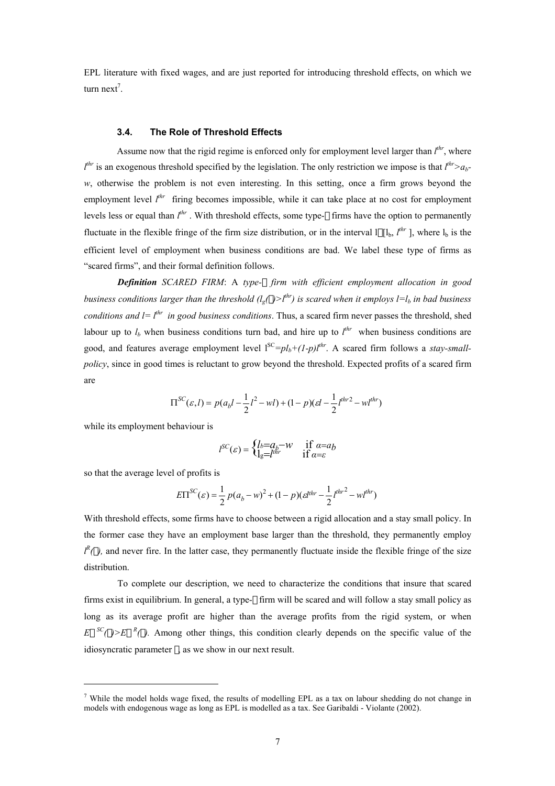EPL literature with fixed wages, and are just reported for introducing threshold effects, on which we turn next<sup>7</sup>.

#### **3.4. The Role of Threshold Effects**

Assume now that the rigid regime is enforced only for employment level larger than  $l^{thr}$ , where  $l^{thr}$  is an exogenous threshold specified by the legislation. The only restriction we impose is that  $l^{thr} > a_b$ *w*, otherwise the problem is not even interesting. In this setting, once a firm grows beyond the employment level  $l^{thr}$  firing becomes impossible, while it can take place at no cost for employment levels less or equal than  $l^{thr}$ . With threshold effects, some type- firms have the option to permanently fluctuate in the flexible fringe of the firm size distribution, or in the interval  $\prod_{b} l^{hr}$ , where  $\prod_{b}$  is the efficient level of employment when business conditions are bad. We label these type of firms as "scared firms", and their formal definition follows.

*Definition SCARED FIRM*: A *type- firm with efficient employment allocation in good business conditions larger than the threshold*  $(l_g($   $>)$ <sup> $l^{thr}$ </sup>) is scared when it employs  $l=l_b$  in bad business *conditions and*  $l = l^{thr}$  *in good business conditions.* Thus, a scared firm never passes the threshold, shed labour up to  $l_b$  when business conditions turn bad, and hire up to  $l^{thr}$  when business conditions are good, and features average employment level  $1^{SC} = pl_b + (1-p)l^{thr}$ . A scared firm follows a *stay-smallpolicy*, since in good times is reluctant to grow beyond the threshold. Expected profits of a scared firm are

$$
\Pi^{SC}(\varepsilon,l)=p(a_{b}l-\frac{1}{2}l^{2}-wl)+(1-p)(\varepsilon l-\frac{1}{2}l^{thr2}-wl^{thr})
$$

while its employment behaviour is

$$
l^{SC}(\varepsilon) = \begin{cases} l_b = a_b - w & \text{if } \alpha = a_b \\ l_g = l^{un} & \text{if } \alpha = \varepsilon \end{cases}
$$

so that the average level of profits is

 $\overline{a}$ 

$$
E\Pi^{SC}(\varepsilon) = \frac{1}{2} p(a_b - w)^2 + (1 - p)(\varepsilon l^{thr} - \frac{1}{2}l^{thr^2} - w l^{thr})
$$

With threshold effects, some firms have to choose between a rigid allocation and a stay small policy. In the former case they have an employment base larger than the threshold, they permanently employ  $l^R$ (*)*, and never fire. In the latter case, they permanently fluctuate inside the flexible fringe of the size distribution.

To complete our description, we need to characterize the conditions that insure that scared firms exist in equilibrium. In general, a type- firm will be scared and will follow a stay small policy as long as its average profit are higher than the average profits from the rigid system, or when  $E^{SC}(E) \ge E^{R}(E)$ . Among other things, this condition clearly depends on the specific value of the idiosyncratic parameter , as we show in our next result.

<sup>&</sup>lt;sup>7</sup> While the model holds wage fixed, the results of modelling EPL as a tax on labour shedding do not change in models with endogenous wage as long as EPL is modelled as a tax. See Garibaldi - Violante (2002).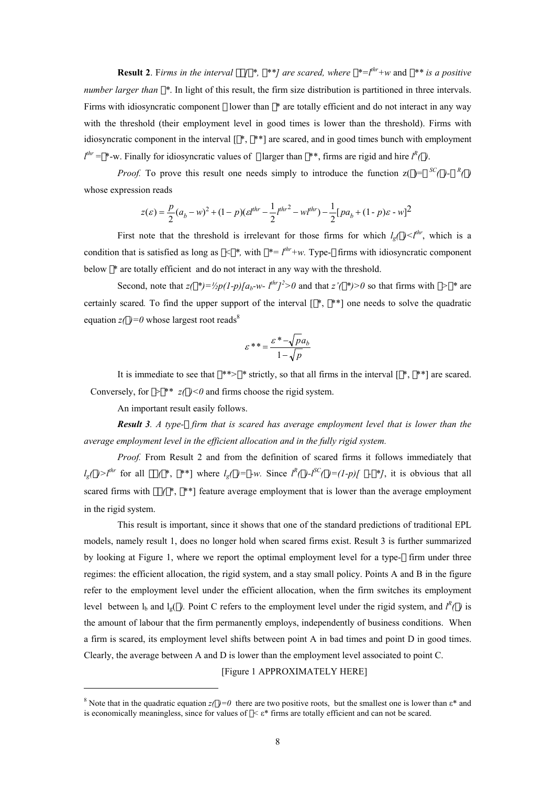**Result 2**. Firms in the interval  $\begin{bmatrix} * & * \end{bmatrix}$  are scared, where  $\begin{bmatrix} * & * \end{bmatrix}$  and  $\begin{bmatrix} * & * \end{bmatrix}$  is a positive *number larger than* \*. In light of this result, the firm size distribution is partitioned in three intervals. Firms with idiosyncratic component lower than \* are totally efficient and do not interact in any way with the threshold (their employment level in good times is lower than the threshold). Firms with idiosyncratic component in the interval [ \*, \*\*] are scared, and in good times bunch with employment  $l^{thr}$  = \*-w. Finally for idiosyncratic values of larger than \*\*, firms are rigid and hire  $l^R$  (*)*.

*Proof.* To prove this result one needs simply to introduce the function  $z() = {^{SC}()} - {^R}(')$ whose expression reads

$$
z(\varepsilon) = \frac{p}{2}(a_b - w)^2 + (1 - p)(\varepsilon^{thr} - \frac{1}{2}l^{thr^2} - w l^{thr}) - \frac{1}{2}[pa_b + (1 - p)\varepsilon - w]^2
$$

First note that the threshold is irrelevant for those firms for which  $l_g$  / $\lt l^{thr}$ , which is a condition that is satisfied as long as  $\langle * \rangle$ , with  $* = l^{thr} + w$ . Type- firms with idiosyncratic component below \* are totally efficient and do not interact in any way with the threshold.

Second, note that  $z'$  \*)= $\frac{1}{2}p(1-p)[a_b-w-1^{thr}]^2>0$  and that  $z'$  \*)>0 so that firms with > \* are certainly scared. To find the upper support of the interval  $[ * , * * ]$  one needs to solve the quadratic equation  $z( )=0$  whose largest root reads<sup>8</sup>

$$
\varepsilon^{**} = \frac{\varepsilon^* - \sqrt{p}a_b}{1 - \sqrt{p}}
$$

It is immediate to see that \*\*> \* strictly, so that all firms in the interval  $[$ \*. \*\*] are scared. Conversely, for  $>$  \*\*  $z($   $)$  < 0 and firms choose the rigid system.

An important result easily follows.

 $\overline{a}$ 

*Result 3. A type- firm that is scared has average employment level that is lower than the average employment level in the efficient allocation and in the fully rigid system.* 

 *Proof.* From Result 2 and from the definition of scared firms it follows immediately that  $l_g$ (  $\gg l^{thr}$  for all (\*, \*\*) where  $l_g$ (  $\gg$  *-w.* Since  $l^R$ (  $\gg$   $-l^SC$ (  $\gg$   $=$   $(l-p)$ [ - \*], it is obvious that all scared firms with  $\ell$ <sup>\*</sup>, \*\*] feature average employment that is lower than the average employment in the rigid system.

This result is important, since it shows that one of the standard predictions of traditional EPL models, namely result 1, does no longer hold when scared firms exist. Result 3 is further summarized by looking at Figure 1, where we report the optimal employment level for a type- firm under three regimes: the efficient allocation, the rigid system, and a stay small policy. Points A and B in the figure refer to the employment level under the efficient allocation, when the firm switches its employment level between  $l_b$  and  $l_g$  (*)*. Point C refers to the employment level under the rigid system, and  $l^R$  (*)* is the amount of labour that the firm permanently employs, independently of business conditions. When a firm is scared, its employment level shifts between point A in bad times and point D in good times. Clearly, the average between A and D is lower than the employment level associated to point C.

[Figure 1 APPROXIMATELY HERE]

<sup>&</sup>lt;sup>8</sup> Note that in the quadratic equation  $z( ) = 0$  there are two positive roots, but the smallest one is lower than  $\varepsilon^*$  and is economically meaningless, since for values of *<* ε\* firms are totally efficient and can not be scared.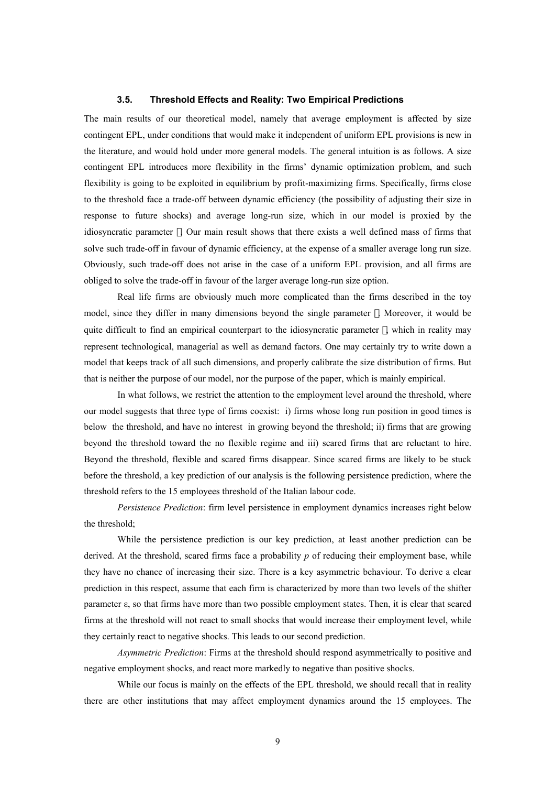#### **3.5. Threshold Effects and Reality: Two Empirical Predictions**

The main results of our theoretical model, namely that average employment is affected by size contingent EPL, under conditions that would make it independent of uniform EPL provisions is new in the literature, and would hold under more general models. The general intuition is as follows. A size contingent EPL introduces more flexibility in the firms' dynamic optimization problem, and such flexibility is going to be exploited in equilibrium by profit-maximizing firms. Specifically, firms close to the threshold face a trade-off between dynamic efficiency (the possibility of adjusting their size in response to future shocks) and average long-run size, which in our model is proxied by the idiosyncratic parameter . Our main result shows that there exists a well defined mass of firms that solve such trade-off in favour of dynamic efficiency, at the expense of a smaller average long run size. Obviously, such trade-off does not arise in the case of a uniform EPL provision, and all firms are obliged to solve the trade-off in favour of the larger average long-run size option.

Real life firms are obviously much more complicated than the firms described in the toy model, since they differ in many dimensions beyond the single parameter . Moreover, it would be quite difficult to find an empirical counterpart to the idiosyncratic parameter , which in reality may represent technological, managerial as well as demand factors. One may certainly try to write down a model that keeps track of all such dimensions, and properly calibrate the size distribution of firms. But that is neither the purpose of our model, nor the purpose of the paper, which is mainly empirical.

In what follows, we restrict the attention to the employment level around the threshold, where our model suggests that three type of firms coexist: i) firms whose long run position in good times is below the threshold, and have no interest in growing beyond the threshold; ii) firms that are growing beyond the threshold toward the no flexible regime and iii) scared firms that are reluctant to hire. Beyond the threshold, flexible and scared firms disappear. Since scared firms are likely to be stuck before the threshold, a key prediction of our analysis is the following persistence prediction, where the threshold refers to the 15 employees threshold of the Italian labour code.

*Persistence Prediction*: firm level persistence in employment dynamics increases right below the threshold;

While the persistence prediction is our key prediction, at least another prediction can be derived. At the threshold, scared firms face a probability *p* of reducing their employment base, while they have no chance of increasing their size. There is a key asymmetric behaviour. To derive a clear prediction in this respect, assume that each firm is characterized by more than two levels of the shifter parameter ε, so that firms have more than two possible employment states. Then, it is clear that scared firms at the threshold will not react to small shocks that would increase their employment level, while they certainly react to negative shocks. This leads to our second prediction.

*Asymmetric Prediction*: Firms at the threshold should respond asymmetrically to positive and negative employment shocks, and react more markedly to negative than positive shocks.

While our focus is mainly on the effects of the EPL threshold, we should recall that in reality there are other institutions that may affect employment dynamics around the 15 employees. The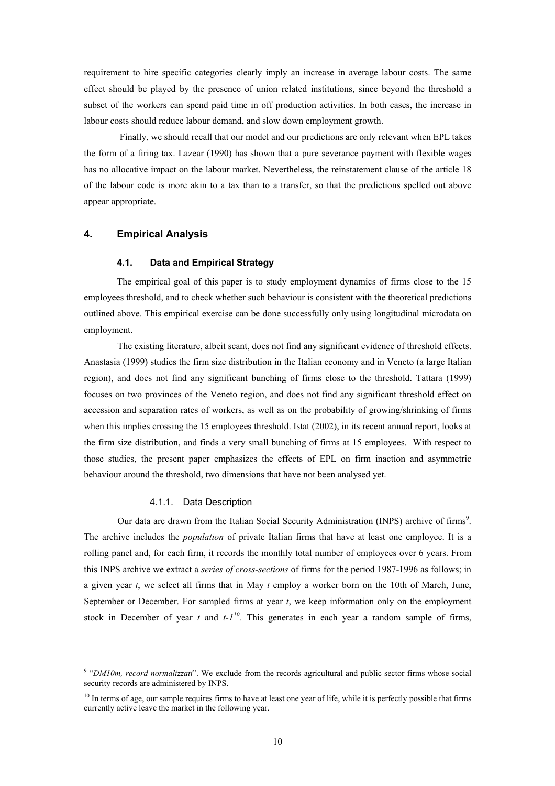requirement to hire specific categories clearly imply an increase in average labour costs. The same effect should be played by the presence of union related institutions, since beyond the threshold a subset of the workers can spend paid time in off production activities. In both cases, the increase in labour costs should reduce labour demand, and slow down employment growth.

 Finally, we should recall that our model and our predictions are only relevant when EPL takes the form of a firing tax. Lazear (1990) has shown that a pure severance payment with flexible wages has no allocative impact on the labour market. Nevertheless, the reinstatement clause of the article 18 of the labour code is more akin to a tax than to a transfer, so that the predictions spelled out above appear appropriate.

#### **4. Empirical Analysis**

#### **4.1. Data and Empirical Strategy**

The empirical goal of this paper is to study employment dynamics of firms close to the 15 employees threshold, and to check whether such behaviour is consistent with the theoretical predictions outlined above. This empirical exercise can be done successfully only using longitudinal microdata on employment.

The existing literature, albeit scant, does not find any significant evidence of threshold effects. Anastasia (1999) studies the firm size distribution in the Italian economy and in Veneto (a large Italian region), and does not find any significant bunching of firms close to the threshold. Tattara (1999) focuses on two provinces of the Veneto region, and does not find any significant threshold effect on accession and separation rates of workers, as well as on the probability of growing/shrinking of firms when this implies crossing the 15 employees threshold. Istat (2002), in its recent annual report, looks at the firm size distribution, and finds a very small bunching of firms at 15 employees. With respect to those studies, the present paper emphasizes the effects of EPL on firm inaction and asymmetric behaviour around the threshold, two dimensions that have not been analysed yet.

#### 4.1.1. Data Description

 $\overline{a}$ 

Our data are drawn from the Italian Social Security Administration (INPS) archive of firms<sup>9</sup>. The archive includes the *population* of private Italian firms that have at least one employee. It is a rolling panel and, for each firm, it records the monthly total number of employees over 6 years. From this INPS archive we extract a *series of cross-sections* of firms for the period 1987-1996 as follows; in a given year *t*, we select all firms that in May *t* employ a worker born on the 10th of March, June, September or December. For sampled firms at year *t*, we keep information only on the employment stock in December of year *t* and *t-110.* This generates in each year a random sample of firms,

<sup>&</sup>lt;sup>9</sup> "*DM10m, record normalizzati*". We exclude from the records agricultural and public sector firms whose social security records are administered by INPS.

 $10$  In terms of age, our sample requires firms to have at least one year of life, while it is perfectly possible that firms currently active leave the market in the following year.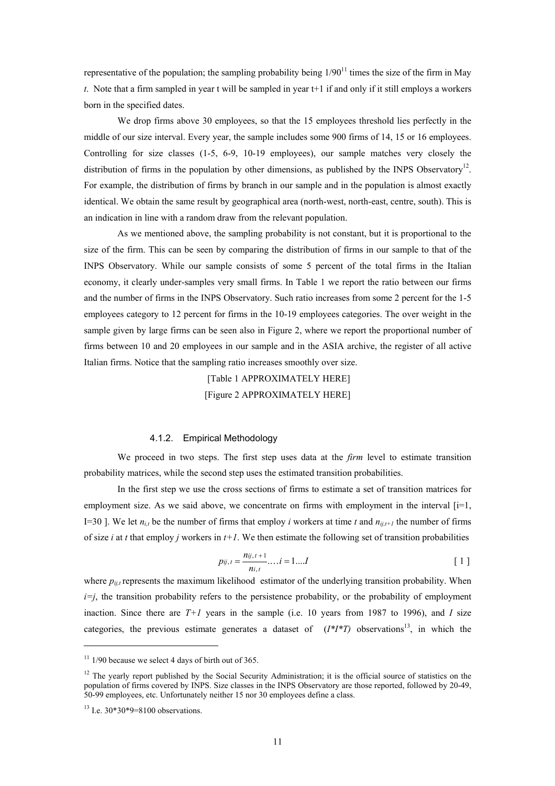representative of the population; the sampling probability being  $1/90^{11}$  times the size of the firm in May *t*. Note that a firm sampled in year t will be sampled in year t+1 if and only if it still employs a workers born in the specified dates.

We drop firms above 30 employees, so that the 15 employees threshold lies perfectly in the middle of our size interval. Every year, the sample includes some 900 firms of 14, 15 or 16 employees. Controlling for size classes (1-5, 6-9, 10-19 employees), our sample matches very closely the distribution of firms in the population by other dimensions, as published by the INPS Observatory<sup>12</sup>. For example, the distribution of firms by branch in our sample and in the population is almost exactly identical. We obtain the same result by geographical area (north-west, north-east, centre, south). This is an indication in line with a random draw from the relevant population.

As we mentioned above, the sampling probability is not constant, but it is proportional to the size of the firm. This can be seen by comparing the distribution of firms in our sample to that of the INPS Observatory. While our sample consists of some 5 percent of the total firms in the Italian economy, it clearly under-samples very small firms. In Table 1 we report the ratio between our firms and the number of firms in the INPS Observatory. Such ratio increases from some 2 percent for the 1-5 employees category to 12 percent for firms in the 10-19 employees categories. The over weight in the sample given by large firms can be seen also in Figure 2, where we report the proportional number of firms between 10 and 20 employees in our sample and in the ASIA archive, the register of all active Italian firms. Notice that the sampling ratio increases smoothly over size.

> [Table 1 APPROXIMATELY HERE] [Figure 2 APPROXIMATELY HERE]

#### 4.1.2. Empirical Methodology

We proceed in two steps. The first step uses data at the *firm* level to estimate transition probability matrices, while the second step uses the estimated transition probabilities.

In the first step we use the cross sections of firms to estimate a set of transition matrices for employment size. As we said above, we concentrate on firms with employment in the interval  $[i=1,$ I=30 ]. We let  $n_{i,t}$  be the number of firms that employ *i* workers at time *t* and  $n_{ii,t+1}$  the number of firms of size *i* at *t* that employ *j* workers in  $t+1$ . We then estimate the following set of transition probabilities

$$
p_{ij,t} = \frac{n_{ij,t+1}}{n_{i,t}} \dots i = 1 \dots I
$$
 [1]

where  $p_{ij,t}$  represents the maximum likelihood estimator of the underlying transition probability. When  $i=j$ , the transition probability refers to the persistence probability, or the probability of employment inaction. Since there are  $T+1$  years in the sample (i.e. 10 years from 1987 to 1996), and *I* size categories, the previous estimate generates a dataset of  $(I^*I^*T)$  observations<sup>13</sup>, in which the

 $11$  1/90 because we select 4 days of birth out of 365.

 $12$  The yearly report published by the Social Security Administration; it is the official source of statistics on the population of firms covered by INPS. Size classes in the INPS Observatory are those reported, followed by 20-49, 50-99 employees, etc. Unfortunately neither 15 nor 30 employees define a class.

 $13$  I.e.  $30*30*9=8100$  observations.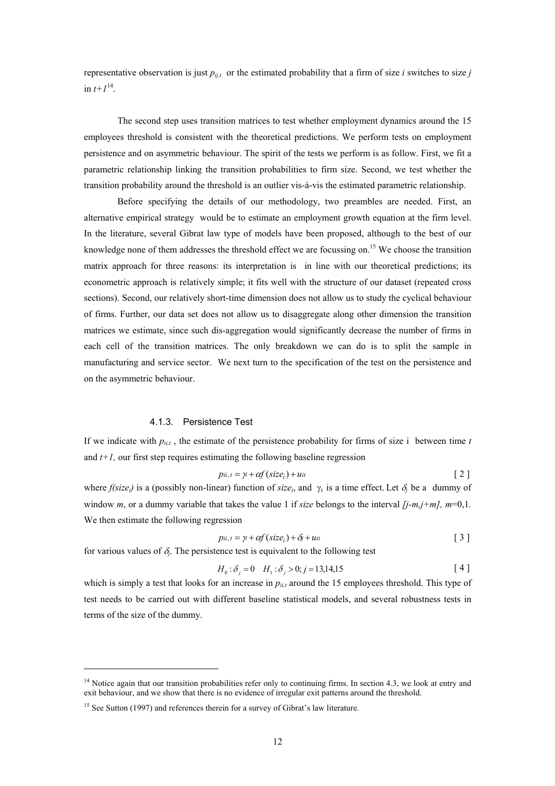representative observation is just  $p_{ij,t}$  or the estimated probability that a firm of size *i* switches to size *j* in  $t+1^{14}$ .

The second step uses transition matrices to test whether employment dynamics around the 15 employees threshold is consistent with the theoretical predictions. We perform tests on employment persistence and on asymmetric behaviour. The spirit of the tests we perform is as follow. First, we fit a parametric relationship linking the transition probabilities to firm size. Second, we test whether the transition probability around the threshold is an outlier vis-à-vis the estimated parametric relationship.

Before specifying the details of our methodology, two preambles are needed. First, an alternative empirical strategy would be to estimate an employment growth equation at the firm level. In the literature, several Gibrat law type of models have been proposed, although to the best of our knowledge none of them addresses the threshold effect we are focussing on.<sup>15</sup> We choose the transition matrix approach for three reasons: its interpretation is in line with our theoretical predictions; its econometric approach is relatively simple; it fits well with the structure of our dataset (repeated cross sections). Second, our relatively short-time dimension does not allow us to study the cyclical behaviour of firms. Further, our data set does not allow us to disaggregate along other dimension the transition matrices we estimate, since such dis-aggregation would significantly decrease the number of firms in each cell of the transition matrices. The only breakdown we can do is to split the sample in manufacturing and service sector. We next turn to the specification of the test on the persistence and on the asymmetric behaviour.

#### 4.1.3. Persistence Test

If we indicate with  $p_{i,i}$ , the estimate of the persistence probability for firms of size i between time  $t$ and  $t+1$ , our first step requires estimating the following baseline regression

$$
p_{ii,t} = \gamma_t + \alpha f(size_i) + u_{it}
$$
 [2]

where  $f(size_i)$  is a (possibly non-linear) function of *size<sub>i*</sub>, and  $\gamma_t$  is a time effect. Let  $\delta_i$  be a dummy of window *m*, or a dummy variable that takes the value 1 if *size* belongs to the interval  $[j-m,j+m]$ ,  $m=0,1$ . We then estimate the following regression

$$
p_{ii,t} = \gamma_t + \alpha f(size_i) + \delta_j + u_{it}
$$
 [3]

for various values of  $\delta$ . The persistence test is equivalent to the following test

$$
H_0: \delta_j = 0 \quad H_1: \delta_j > 0; j = 13,14,15 \tag{4}
$$

which is simply a test that looks for an increase in  $p_{ii,t}$  around the 15 employees threshold. This type of test needs to be carried out with different baseline statistical models, and several robustness tests in terms of the size of the dummy.

 $14$  Notice again that our transition probabilities refer only to continuing firms. In section 4.3, we look at entry and exit behaviour, and we show that there is no evidence of irregular exit patterns around the threshold.

<sup>&</sup>lt;sup>15</sup> See Sutton (1997) and references therein for a survey of Gibrat's law literature.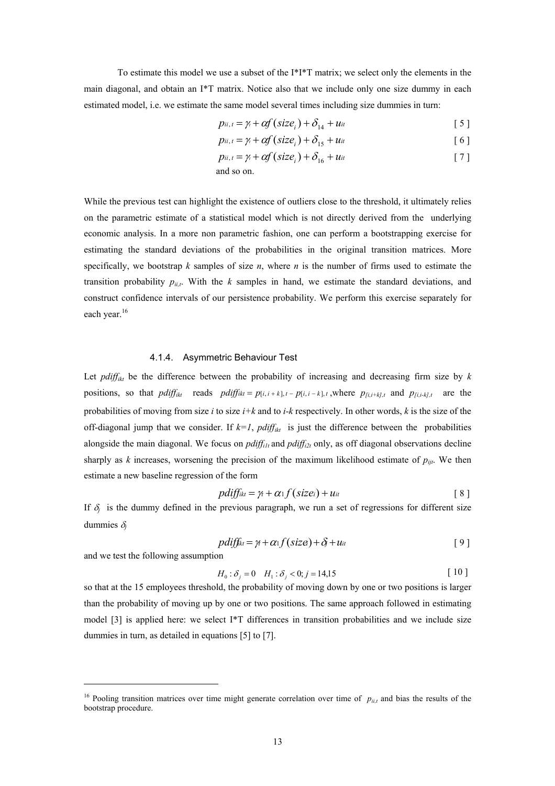To estimate this model we use a subset of the I\*I\*T matrix; we select only the elements in the main diagonal, and obtain an I\*T matrix. Notice also that we include only one size dummy in each estimated model, i.e. we estimate the same model several times including size dummies in turn:

$$
p_{ii,t} = \gamma_t + \alpha f\left(\text{size}_i\right) + \delta_{14} + u_{it} \tag{5}
$$

$$
p_{ii, t} = \gamma_t + \alpha f(size_i) + \delta_{15} + u_{it}
$$
 [6]

$$
p_{ii,t} = \gamma_t + \alpha f(size_i) + \delta_{16} + u_{it}
$$
 [7]

and so on.

While the previous test can highlight the existence of outliers close to the threshold, it ultimately relies on the parametric estimate of a statistical model which is not directly derived from the underlying economic analysis. In a more non parametric fashion, one can perform a bootstrapping exercise for estimating the standard deviations of the probabilities in the original transition matrices. More specifically, we bootstrap *k* samples of size *n*, where *n* is the number of firms used to estimate the transition probability  $p_{ii}$ . With the *k* samples in hand, we estimate the standard deviations, and construct confidence intervals of our persistence probability. We perform this exercise separately for each year.<sup>16</sup>

#### 4.1.4. Asymmetric Behaviour Test

Let *pdiff<sub>ikt</sub>* be the difference between the probability of increasing and decreasing firm size by  $k$ positions, so that  $pdf_{ikt}$  reads  $pdf_{ikt} = p[i, i+k], t - p[i, i-k], t$ , where  $p_{fi, i+k], t}$  and  $p_{fi, i+k], t}$  are the probabilities of moving from size *i* to size *i+k* and to *i-k* respectively. In other words, *k* is the size of the off-diagonal jump that we consider. If  $k=1$ ,  $pdf_{ikt}$  is just the difference between the probabilities alongside the main diagonal. We focus on *pdiff<sub>ilt</sub>* and *pdiff<sub>i2t</sub>* only, as off diagonal observations decline sharply as *k* increases, worsening the precision of the maximum likelihood estimate of  $p_{ijt}$ . We then estimate a new baseline regression of the form

$$
pdf_{ikt} = \gamma_t + \alpha_1 f(size_i) + u_{it}
$$
\n[8]

If  $\delta$ <sup>*j*</sup> is the dummy defined in the previous paragraph, we run a set of regressions for different size dummies δ*<sup>j</sup>*

$$
pdff_{kt} = \gamma + \alpha_1 f(size) + \delta + u_{it}
$$
 [9]

and we test the following assumption

 $\overline{a}$ 

$$
H_0: \delta_j = 0 \quad H_1: \delta_j < 0; j = 14, 15 \tag{10}
$$

so that at the 15 employees threshold, the probability of moving down by one or two positions is larger than the probability of moving up by one or two positions. The same approach followed in estimating model [3] is applied here: we select I\*T differences in transition probabilities and we include size dummies in turn, as detailed in equations [5] to [7].

<sup>&</sup>lt;sup>16</sup> Pooling transition matrices over time might generate correlation over time of  $p_{ii,t}$  and bias the results of the bootstrap procedure.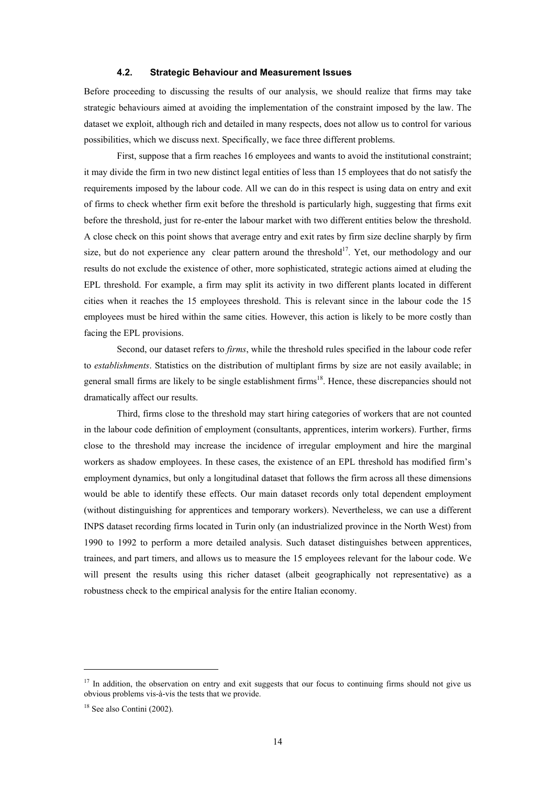#### **4.2. Strategic Behaviour and Measurement Issues**

Before proceeding to discussing the results of our analysis, we should realize that firms may take strategic behaviours aimed at avoiding the implementation of the constraint imposed by the law. The dataset we exploit, although rich and detailed in many respects, does not allow us to control for various possibilities, which we discuss next. Specifically, we face three different problems.

First, suppose that a firm reaches 16 employees and wants to avoid the institutional constraint; it may divide the firm in two new distinct legal entities of less than 15 employees that do not satisfy the requirements imposed by the labour code. All we can do in this respect is using data on entry and exit of firms to check whether firm exit before the threshold is particularly high, suggesting that firms exit before the threshold, just for re-enter the labour market with two different entities below the threshold. A close check on this point shows that average entry and exit rates by firm size decline sharply by firm size, but do not experience any clear pattern around the threshold<sup>17</sup>. Yet, our methodology and our results do not exclude the existence of other, more sophisticated, strategic actions aimed at eluding the EPL threshold. For example, a firm may split its activity in two different plants located in different cities when it reaches the 15 employees threshold. This is relevant since in the labour code the 15 employees must be hired within the same cities. However, this action is likely to be more costly than facing the EPL provisions.

Second, our dataset refers to *firms*, while the threshold rules specified in the labour code refer to *establishments*. Statistics on the distribution of multiplant firms by size are not easily available; in general small firms are likely to be single establishment firms<sup>18</sup>. Hence, these discrepancies should not dramatically affect our results.

Third, firms close to the threshold may start hiring categories of workers that are not counted in the labour code definition of employment (consultants, apprentices, interim workers). Further, firms close to the threshold may increase the incidence of irregular employment and hire the marginal workers as shadow employees. In these cases, the existence of an EPL threshold has modified firm's employment dynamics, but only a longitudinal dataset that follows the firm across all these dimensions would be able to identify these effects. Our main dataset records only total dependent employment (without distinguishing for apprentices and temporary workers). Nevertheless, we can use a different INPS dataset recording firms located in Turin only (an industrialized province in the North West) from 1990 to 1992 to perform a more detailed analysis. Such dataset distinguishes between apprentices, trainees, and part timers, and allows us to measure the 15 employees relevant for the labour code. We will present the results using this richer dataset (albeit geographically not representative) as a robustness check to the empirical analysis for the entire Italian economy.

 $17$  In addition, the observation on entry and exit suggests that our focus to continuing firms should not give us obvious problems vis-à-vis the tests that we provide.

<sup>18</sup> See also Contini (2002).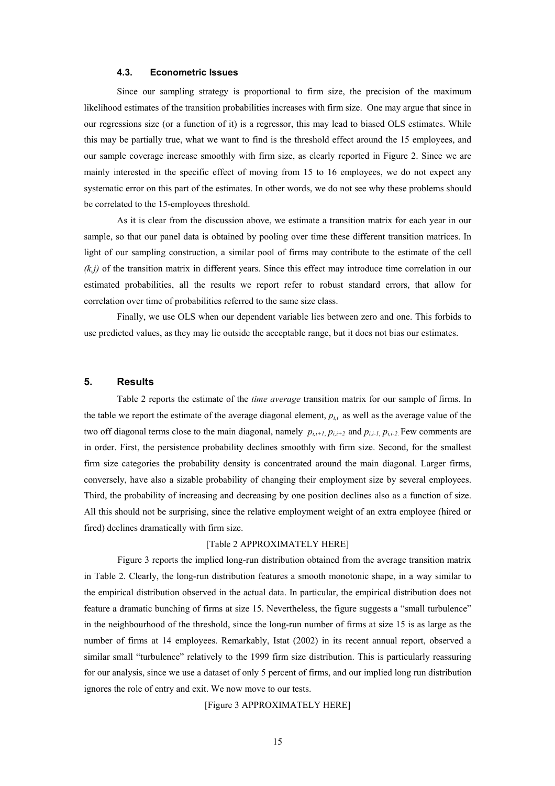#### **4.3. Econometric Issues**

Since our sampling strategy is proportional to firm size, the precision of the maximum likelihood estimates of the transition probabilities increases with firm size. One may argue that since in our regressions size (or a function of it) is a regressor, this may lead to biased OLS estimates. While this may be partially true, what we want to find is the threshold effect around the 15 employees, and our sample coverage increase smoothly with firm size, as clearly reported in Figure 2. Since we are mainly interested in the specific effect of moving from 15 to 16 employees, we do not expect any systematic error on this part of the estimates. In other words, we do not see why these problems should be correlated to the 15-employees threshold.

As it is clear from the discussion above, we estimate a transition matrix for each year in our sample, so that our panel data is obtained by pooling over time these different transition matrices. In light of our sampling construction, a similar pool of firms may contribute to the estimate of the cell *(k,j)* of the transition matrix in different years. Since this effect may introduce time correlation in our estimated probabilities, all the results we report refer to robust standard errors, that allow for correlation over time of probabilities referred to the same size class.

Finally, we use OLS when our dependent variable lies between zero and one. This forbids to use predicted values, as they may lie outside the acceptable range, but it does not bias our estimates.

#### **5. Results**

Table 2 reports the estimate of the *time average* transition matrix for our sample of firms. In the table we report the estimate of the average diagonal element,  $p_{i,i}$  as well as the average value of the two off diagonal terms close to the main diagonal, namely  $p_{i,i+1}$ ,  $p_{i,i+2}$  and  $p_{i,i-1}$ ,  $p_{i,i-2}$ . Few comments are in order. First, the persistence probability declines smoothly with firm size. Second, for the smallest firm size categories the probability density is concentrated around the main diagonal. Larger firms, conversely, have also a sizable probability of changing their employment size by several employees. Third, the probability of increasing and decreasing by one position declines also as a function of size. All this should not be surprising, since the relative employment weight of an extra employee (hired or fired) declines dramatically with firm size.

#### [Table 2 APPROXIMATELY HERE]

Figure 3 reports the implied long-run distribution obtained from the average transition matrix in Table 2. Clearly, the long-run distribution features a smooth monotonic shape, in a way similar to the empirical distribution observed in the actual data. In particular, the empirical distribution does not feature a dramatic bunching of firms at size 15. Nevertheless, the figure suggests a "small turbulence" in the neighbourhood of the threshold, since the long-run number of firms at size 15 is as large as the number of firms at 14 employees. Remarkably, Istat (2002) in its recent annual report, observed a similar small "turbulence" relatively to the 1999 firm size distribution. This is particularly reassuring for our analysis, since we use a dataset of only 5 percent of firms, and our implied long run distribution ignores the role of entry and exit. We now move to our tests.

[Figure 3 APPROXIMATELY HERE]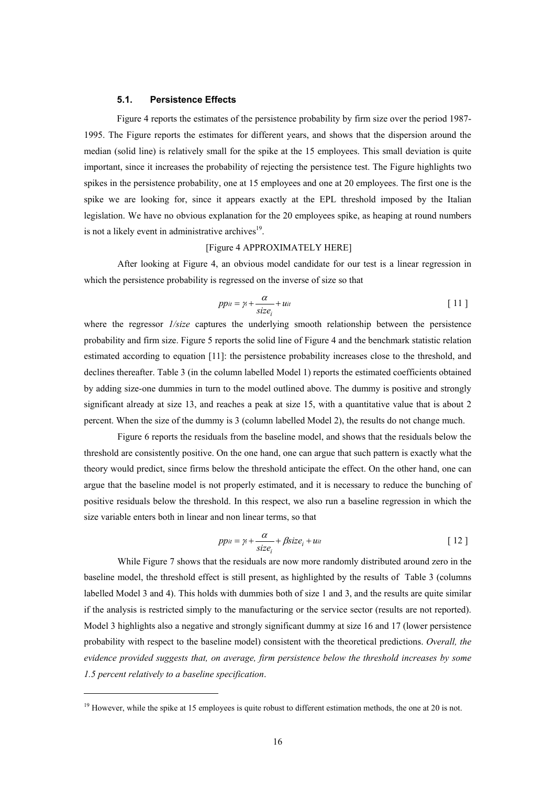#### **5.1. Persistence Effects**

Figure 4 reports the estimates of the persistence probability by firm size over the period 1987- 1995. The Figure reports the estimates for different years, and shows that the dispersion around the median (solid line) is relatively small for the spike at the 15 employees. This small deviation is quite important, since it increases the probability of rejecting the persistence test. The Figure highlights two spikes in the persistence probability, one at 15 employees and one at 20 employees. The first one is the spike we are looking for, since it appears exactly at the EPL threshold imposed by the Italian legislation. We have no obvious explanation for the 20 employees spike, as heaping at round numbers is not a likely event in administrative archives $19$ .

#### [Figure 4 APPROXIMATELY HERE]

After looking at Figure 4, an obvious model candidate for our test is a linear regression in which the persistence probability is regressed on the inverse of size so that

$$
ppit = \gamma_t + \frac{\alpha}{size_i} + uit
$$
 [11]

where the regressor *1/size* captures the underlying smooth relationship between the persistence probability and firm size. Figure 5 reports the solid line of Figure 4 and the benchmark statistic relation estimated according to equation [11]: the persistence probability increases close to the threshold, and declines thereafter. Table 3 (in the column labelled Model 1) reports the estimated coefficients obtained by adding size-one dummies in turn to the model outlined above. The dummy is positive and strongly significant already at size 13, and reaches a peak at size 15, with a quantitative value that is about 2 percent. When the size of the dummy is 3 (column labelled Model 2), the results do not change much.

Figure 6 reports the residuals from the baseline model, and shows that the residuals below the threshold are consistently positive. On the one hand, one can argue that such pattern is exactly what the theory would predict, since firms below the threshold anticipate the effect. On the other hand, one can argue that the baseline model is not properly estimated, and it is necessary to reduce the bunching of positive residuals below the threshold. In this respect, we also run a baseline regression in which the size variable enters both in linear and non linear terms, so that

$$
pp_{it} = \gamma_i + \frac{\alpha}{size_i} + \beta size_i + u_{it}
$$
 [12]

While Figure 7 shows that the residuals are now more randomly distributed around zero in the baseline model, the threshold effect is still present, as highlighted by the results of Table 3 (columns labelled Model 3 and 4). This holds with dummies both of size 1 and 3, and the results are quite similar if the analysis is restricted simply to the manufacturing or the service sector (results are not reported). Model 3 highlights also a negative and strongly significant dummy at size 16 and 17 (lower persistence probability with respect to the baseline model) consistent with the theoretical predictions. *Overall, the evidence provided suggests that, on average, firm persistence below the threshold increases by some 1.5 percent relatively to a baseline specification*.

 $19$  However, while the spike at 15 employees is quite robust to different estimation methods, the one at 20 is not.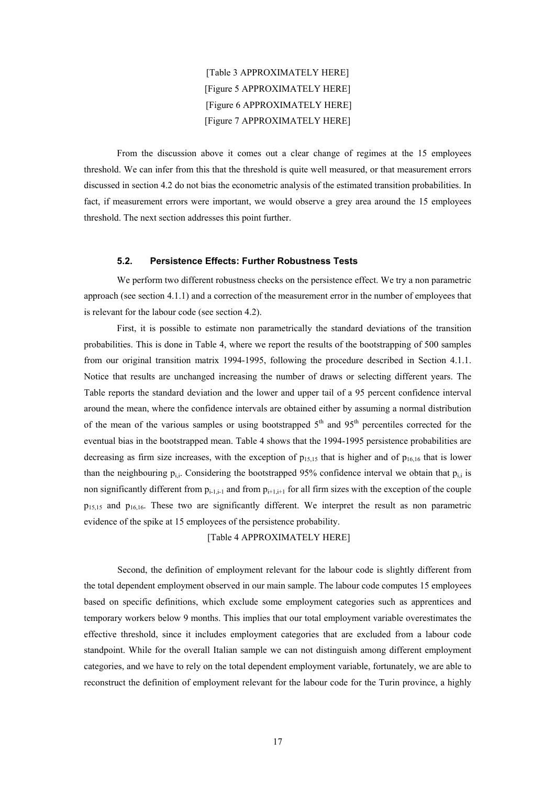[Table 3 APPROXIMATELY HERE] [Figure 5 APPROXIMATELY HERE] [Figure 6 APPROXIMATELY HERE] [Figure 7 APPROXIMATELY HERE]

From the discussion above it comes out a clear change of regimes at the 15 employees threshold. We can infer from this that the threshold is quite well measured, or that measurement errors discussed in section 4.2 do not bias the econometric analysis of the estimated transition probabilities. In fact, if measurement errors were important, we would observe a grey area around the 15 employees threshold. The next section addresses this point further.

#### **5.2. Persistence Effects: Further Robustness Tests**

We perform two different robustness checks on the persistence effect. We try a non parametric approach (see section 4.1.1) and a correction of the measurement error in the number of employees that is relevant for the labour code (see section 4.2).

First, it is possible to estimate non parametrically the standard deviations of the transition probabilities. This is done in Table 4, where we report the results of the bootstrapping of 500 samples from our original transition matrix 1994-1995, following the procedure described in Section 4.1.1. Notice that results are unchanged increasing the number of draws or selecting different years. The Table reports the standard deviation and the lower and upper tail of a 95 percent confidence interval around the mean, where the confidence intervals are obtained either by assuming a normal distribution of the mean of the various samples or using bootstrapped  $5<sup>th</sup>$  and  $95<sup>th</sup>$  percentiles corrected for the eventual bias in the bootstrapped mean. Table 4 shows that the 1994-1995 persistence probabilities are decreasing as firm size increases, with the exception of  $p_{15,15}$  that is higher and of  $p_{16,16}$  that is lower than the neighbouring  $p_{i,j}$ . Considering the bootstrapped 95% confidence interval we obtain that  $p_{i,j}$  is non significantly different from  $p_{i-1,i-1}$  and from  $p_{i+1,i+1}$  for all firm sizes with the exception of the couple p15,15 and p16,16. These two are significantly different. We interpret the result as non parametric evidence of the spike at 15 employees of the persistence probability.

[Table 4 APPROXIMATELY HERE]

Second, the definition of employment relevant for the labour code is slightly different from the total dependent employment observed in our main sample. The labour code computes 15 employees based on specific definitions, which exclude some employment categories such as apprentices and temporary workers below 9 months. This implies that our total employment variable overestimates the effective threshold, since it includes employment categories that are excluded from a labour code standpoint. While for the overall Italian sample we can not distinguish among different employment categories, and we have to rely on the total dependent employment variable, fortunately, we are able to reconstruct the definition of employment relevant for the labour code for the Turin province, a highly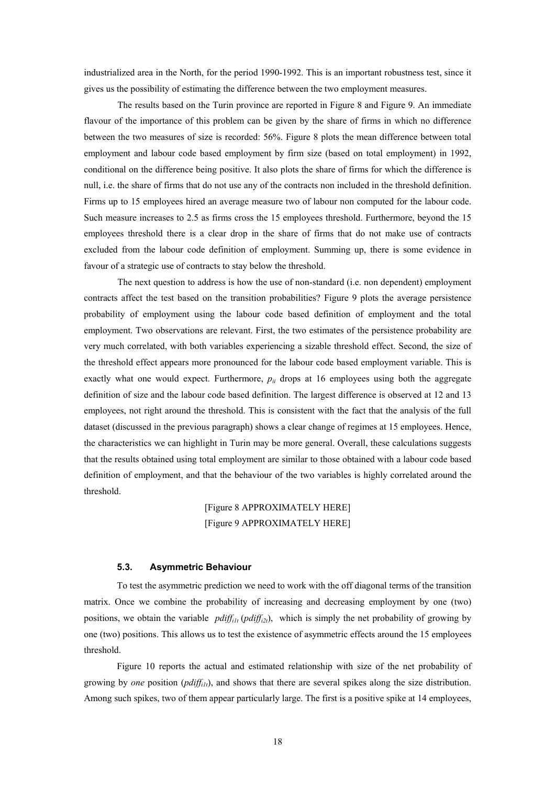industrialized area in the North, for the period 1990-1992. This is an important robustness test, since it gives us the possibility of estimating the difference between the two employment measures.

The results based on the Turin province are reported in Figure 8 and Figure 9. An immediate flavour of the importance of this problem can be given by the share of firms in which no difference between the two measures of size is recorded: 56%. Figure 8 plots the mean difference between total employment and labour code based employment by firm size (based on total employment) in 1992, conditional on the difference being positive. It also plots the share of firms for which the difference is null, i.e. the share of firms that do not use any of the contracts non included in the threshold definition. Firms up to 15 employees hired an average measure two of labour non computed for the labour code. Such measure increases to 2.5 as firms cross the 15 employees threshold. Furthermore, beyond the 15 employees threshold there is a clear drop in the share of firms that do not make use of contracts excluded from the labour code definition of employment. Summing up, there is some evidence in favour of a strategic use of contracts to stay below the threshold.

The next question to address is how the use of non-standard (i.e. non dependent) employment contracts affect the test based on the transition probabilities? Figure 9 plots the average persistence probability of employment using the labour code based definition of employment and the total employment. Two observations are relevant. First, the two estimates of the persistence probability are very much correlated, with both variables experiencing a sizable threshold effect. Second, the size of the threshold effect appears more pronounced for the labour code based employment variable. This is exactly what one would expect. Furthermore,  $p_{ii}$  drops at 16 employees using both the aggregate definition of size and the labour code based definition. The largest difference is observed at 12 and 13 employees, not right around the threshold. This is consistent with the fact that the analysis of the full dataset (discussed in the previous paragraph) shows a clear change of regimes at 15 employees. Hence, the characteristics we can highlight in Turin may be more general. Overall, these calculations suggests that the results obtained using total employment are similar to those obtained with a labour code based definition of employment, and that the behaviour of the two variables is highly correlated around the threshold.

> [Figure 8 APPROXIMATELY HERE] [Figure 9 APPROXIMATELY HERE]

#### **5.3. Asymmetric Behaviour**

To test the asymmetric prediction we need to work with the off diagonal terms of the transition matrix. Once we combine the probability of increasing and decreasing employment by one (two) positions, we obtain the variable  $pdf_{ij} (pdf_{ij})$ , which is simply the net probability of growing by one (two) positions. This allows us to test the existence of asymmetric effects around the 15 employees threshold.

Figure 10 reports the actual and estimated relationship with size of the net probability of growing by *one* position (*pdiffi1t*), and shows that there are several spikes along the size distribution. Among such spikes, two of them appear particularly large. The first is a positive spike at 14 employees,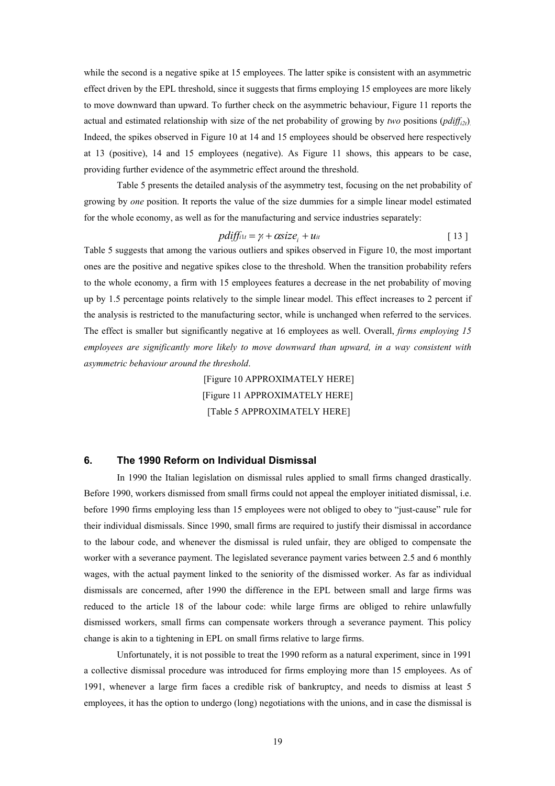while the second is a negative spike at 15 employees. The latter spike is consistent with an asymmetric effect driven by the EPL threshold, since it suggests that firms employing 15 employees are more likely to move downward than upward. To further check on the asymmetric behaviour, Figure 11 reports the actual and estimated relationship with size of the net probability of growing by *two* positions ( $pdf_{i2t}$ ) Indeed, the spikes observed in Figure 10 at 14 and 15 employees should be observed here respectively at 13 (positive), 14 and 15 employees (negative). As Figure 11 shows, this appears to be case, providing further evidence of the asymmetric effect around the threshold.

Table 5 presents the detailed analysis of the asymmetry test, focusing on the net probability of growing by *one* position. It reports the value of the size dummies for a simple linear model estimated for the whole economy, as well as for the manufacturing and service industries separately:

$$
pdff_{i1t} = \gamma_t + \alpha size_i + u_{it}
$$
 [13]

Table 5 suggests that among the various outliers and spikes observed in Figure 10, the most important ones are the positive and negative spikes close to the threshold. When the transition probability refers to the whole economy, a firm with 15 employees features a decrease in the net probability of moving up by 1.5 percentage points relatively to the simple linear model. This effect increases to 2 percent if the analysis is restricted to the manufacturing sector, while is unchanged when referred to the services. The effect is smaller but significantly negative at 16 employees as well. Overall, *firms employing 15 employees are significantly more likely to move downward than upward, in a way consistent with asymmetric behaviour around the threshold*.

> [Figure 10 APPROXIMATELY HERE] [Figure 11 APPROXIMATELY HERE] [Table 5 APPROXIMATELY HERE]

#### **6. The 1990 Reform on Individual Dismissal**

In 1990 the Italian legislation on dismissal rules applied to small firms changed drastically. Before 1990, workers dismissed from small firms could not appeal the employer initiated dismissal, i.e. before 1990 firms employing less than 15 employees were not obliged to obey to "just-cause" rule for their individual dismissals. Since 1990, small firms are required to justify their dismissal in accordance to the labour code, and whenever the dismissal is ruled unfair, they are obliged to compensate the worker with a severance payment. The legislated severance payment varies between 2.5 and 6 monthly wages, with the actual payment linked to the seniority of the dismissed worker. As far as individual dismissals are concerned, after 1990 the difference in the EPL between small and large firms was reduced to the article 18 of the labour code: while large firms are obliged to rehire unlawfully dismissed workers, small firms can compensate workers through a severance payment. This policy change is akin to a tightening in EPL on small firms relative to large firms.

Unfortunately, it is not possible to treat the 1990 reform as a natural experiment, since in 1991 a collective dismissal procedure was introduced for firms employing more than 15 employees. As of 1991, whenever a large firm faces a credible risk of bankruptcy, and needs to dismiss at least 5 employees, it has the option to undergo (long) negotiations with the unions, and in case the dismissal is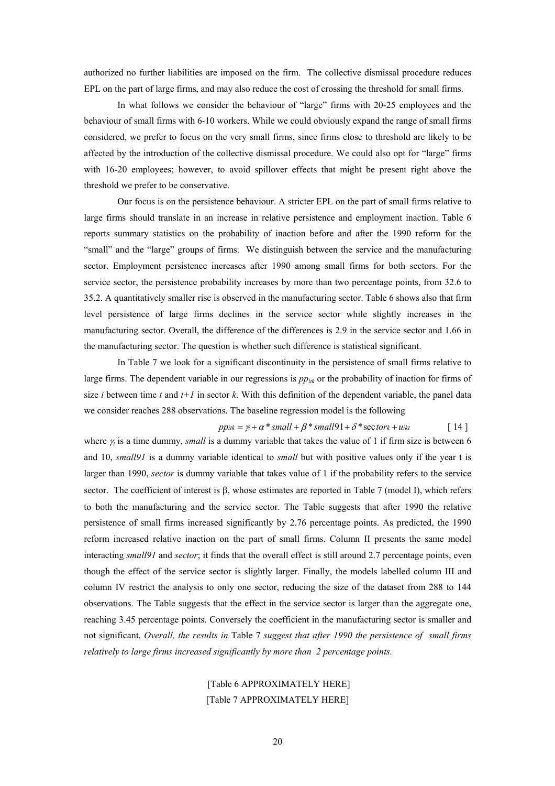authorized no further liabilities are imposed on the firm. The collective dismissal procedure reduces EPL on the part of large firms, and may also reduce the cost of crossing the threshold for small firms.

In what follows we consider the behaviour of "large" firms with 20-25 employees and the behaviour of small firms with 6-10 workers. While we could obviously expand the range of small firms considered, we prefer to focus on the very small firms, since firms close to threshold are likely to be affected by the introduction of the collective dismissal procedure. We could also opt for "large" firms with 16-20 employees; however, to avoid spillover effects that might be present right above the threshold we prefer to be conservative.

Our focus is on the persistence behaviour. A stricter EPL on the part of small firms relative to large firms should translate in an increase in relative persistence and employment inaction. Table 6 reports summary statistics on the probability of inaction before and after the 1990 reform for the "small" and the "large" groups of firms. We distinguish between the service and the manufacturing sector. Employment persistence increases after 1990 among small firms for both sectors. For the service sector, the persistence probability increases by more than two percentage points, from 32.6 to 35.2. A quantitatively smaller rise is observed in the manufacturing sector. Table 6 shows also that firm level persistence of large firms declines in the service sector while slightly increases in the manufacturing sector. Overall, the difference of the differences is 2.9 in the service sector and 1.66 in the manufacturing sector. The question is whether such difference is statistical significant.

In Table 7 we look for a significant discontinuity in the persistence of small firms relative to large firms. The dependent variable in our regressions is  $pp_{ijk}$  or the probability of inaction for firms of size *i* between time *t* and  $t+1$  in sector *k*. With this definition of the dependent variable, the panel data we consider reaches 288 observations. The baseline regression model is the following

$$
pp_{itk} = \gamma_t + \alpha^* small + \beta^* small 91 + \delta^* sector_k + u_{ikt}
$$
 [14]

where  $\gamma$  is a time dummy, *small* is a dummy variable that takes the value of 1 if firm size is between 6 and 10, *small91* is a dummy variable identical to *small* but with positive values only if the year t is larger than 1990, *sector* is dummy variable that takes value of 1 if the probability refers to the service sector. The coefficient of interest is β, whose estimates are reported in Table 7 (model I), which refers to both the manufacturing and the service sector. The Table suggests that after 1990 the relative persistence of small firms increased significantly by 2.76 percentage points. As predicted, the 1990 reform increased relative inaction on the part of small firms. Column II presents the same model interacting *small91* and *sector*; it finds that the overall effect is still around 2.7 percentage points, even though the effect of the service sector is slightly larger. Finally, the models labelled column III and column IV restrict the analysis to only one sector, reducing the size of the dataset from 288 to 144 observations. The Table suggests that the effect in the service sector is larger than the aggregate one, reaching 3.45 percentage points. Conversely the coefficient in the manufacturing sector is smaller and not significant. *Overall, the results in* Table 7 *suggest that after 1990 the persistence of small firms relatively to large firms increased significantly by more than 2 percentage points.* 

#### [Table 6 APPROXIMATELY HERE] [Table 7 APPROXIMATELY HERE]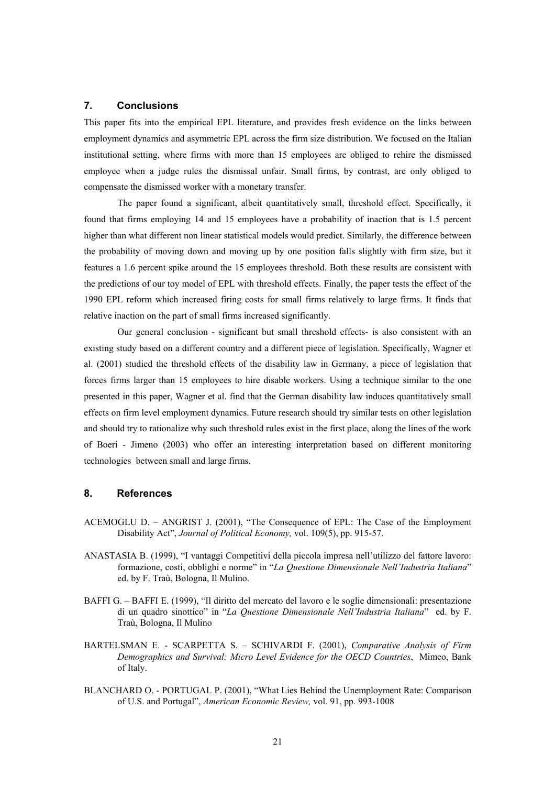#### **7. Conclusions**

This paper fits into the empirical EPL literature, and provides fresh evidence on the links between employment dynamics and asymmetric EPL across the firm size distribution. We focused on the Italian institutional setting, where firms with more than 15 employees are obliged to rehire the dismissed employee when a judge rules the dismissal unfair. Small firms, by contrast, are only obliged to compensate the dismissed worker with a monetary transfer.

The paper found a significant, albeit quantitatively small, threshold effect. Specifically, it found that firms employing 14 and 15 employees have a probability of inaction that is 1.5 percent higher than what different non linear statistical models would predict. Similarly, the difference between the probability of moving down and moving up by one position falls slightly with firm size, but it features a 1.6 percent spike around the 15 employees threshold. Both these results are consistent with the predictions of our toy model of EPL with threshold effects. Finally, the paper tests the effect of the 1990 EPL reform which increased firing costs for small firms relatively to large firms. It finds that relative inaction on the part of small firms increased significantly.

Our general conclusion - significant but small threshold effects- is also consistent with an existing study based on a different country and a different piece of legislation. Specifically, Wagner et al. (2001) studied the threshold effects of the disability law in Germany, a piece of legislation that forces firms larger than 15 employees to hire disable workers. Using a technique similar to the one presented in this paper, Wagner et al. find that the German disability law induces quantitatively small effects on firm level employment dynamics. Future research should try similar tests on other legislation and should try to rationalize why such threshold rules exist in the first place, along the lines of the work of Boeri - Jimeno (2003) who offer an interesting interpretation based on different monitoring technologies between small and large firms.

#### **8. References**

- ACEMOGLU D. ANGRIST J. (2001), "The Consequence of EPL: The Case of the Employment Disability Act", *Journal of Political Economy,* vol. 109(5), pp. 915-57.
- ANASTASIA B. (1999), "I vantaggi Competitivi della piccola impresa nell'utilizzo del fattore lavoro: formazione, costi, obblighi e norme" in "*La Questione Dimensionale Nell'Industria Italiana*" ed. by F. Traù, Bologna, Il Mulino.
- BAFFI G. BAFFI E. (1999), "Il diritto del mercato del lavoro e le soglie dimensionali: presentazione di un quadro sinottico" in "*La Questione Dimensionale Nell'Industria Italiana*" ed. by F. Traù, Bologna, Il Mulino
- BARTELSMAN E. SCARPETTA S. SCHIVARDI F. (2001), *Comparative Analysis of Firm Demographics and Survival: Micro Level Evidence for the OECD Countries*, Mimeo, Bank of Italy.
- BLANCHARD O. PORTUGAL P. (2001), "What Lies Behind the Unemployment Rate: Comparison of U.S. and Portugal", *American Economic Review,* vol. 91, pp. 993-1008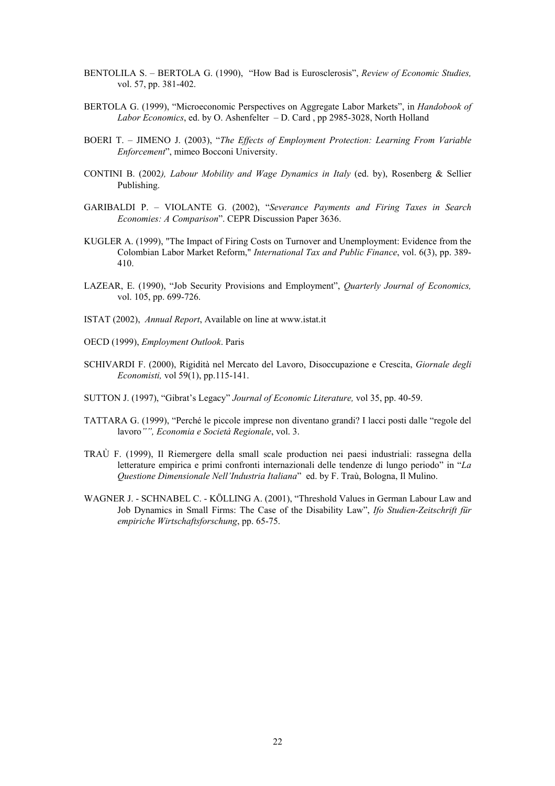- BENTOLILA S. BERTOLA G. (1990), "How Bad is Eurosclerosis", *Review of Economic Studies,*  vol. 57, pp. 381-402.
- BERTOLA G. (1999), "Microeconomic Perspectives on Aggregate Labor Markets", in *Handobook of Labor Economics*, ed. by O. Ashenfelter – D. Card , pp 2985-3028, North Holland
- BOERI T. JIMENO J. (2003), "*The Effects of Employment Protection: Learning From Variable Enforcement*", mimeo Bocconi University.
- CONTINI B. (2002*), Labour Mobility and Wage Dynamics in Italy* (ed. by), Rosenberg & Sellier Publishing.
- GARIBALDI P. VIOLANTE G. (2002), "*Severance Payments and Firing Taxes in Search Economies: A Comparison*". CEPR Discussion Paper 3636.
- KUGLER A. (1999), "The Impact of Firing Costs on Turnover and Unemployment: Evidence from the Colombian Labor Market Reform," *International Tax and Public Finance*, vol. 6(3), pp. 389- 410.
- LAZEAR, E. (1990), "Job Security Provisions and Employment", *Quarterly Journal of Economics,*  vol. 105, pp. 699-726.
- ISTAT (2002), *Annual Report*, Available on line at www.istat.it
- OECD (1999), *Employment Outlook*. Paris
- SCHIVARDI F. (2000), Rigidità nel Mercato del Lavoro, Disoccupazione e Crescita, *Giornale degli Economisti,* vol 59(1), pp.115-141.
- SUTTON J. (1997), "Gibrat's Legacy" *Journal of Economic Literature,* vol 35, pp. 40-59.
- TATTARA G. (1999), "Perché le piccole imprese non diventano grandi? I lacci posti dalle "regole del lavoro*"", Economia e Società Regionale*, vol. 3.
- TRAÙ F. (1999), Il Riemergere della small scale production nei paesi industriali: rassegna della letterature empirica e primi confronti internazionali delle tendenze di lungo periodo" in "*La Questione Dimensionale Nell'Industria Italiana*" ed. by F. Traù, Bologna, Il Mulino.
- WAGNER J. SCHNABEL C. KÖLLING A. (2001), "Threshold Values in German Labour Law and Job Dynamics in Small Firms: The Case of the Disability Law", *Ifo Studien-Zeitschrift für empiriche Wirtschaftsforschung*, pp. 65-75.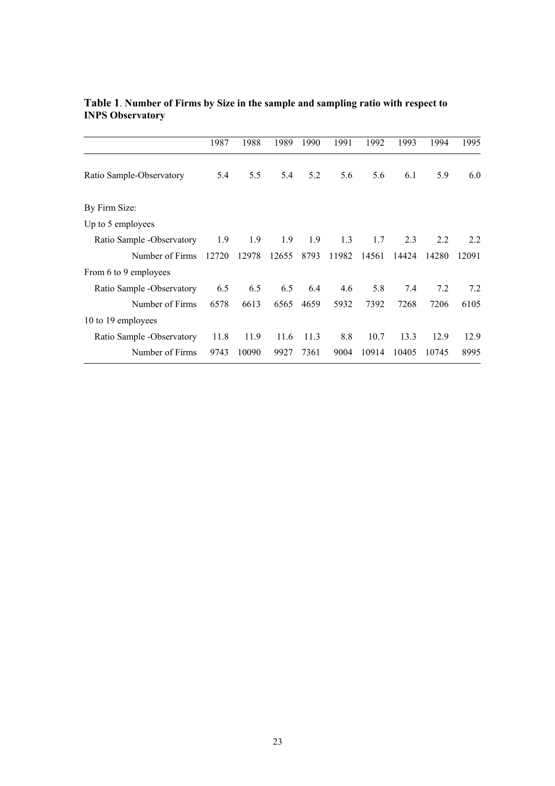|                            | 1987  | 1988  | 1989  | 1990 | 1991  | 1992  | 1993  | 1994  | 1995  |
|----------------------------|-------|-------|-------|------|-------|-------|-------|-------|-------|
| Ratio Sample-Observatory   | 5.4   | 5.5   | 5.4   | 5.2  | 5.6   | 5.6   | 6.1   | 5.9   | 6.0   |
| By Firm Size:              |       |       |       |      |       |       |       |       |       |
| Up to 5 employees          |       |       |       |      |       |       |       |       |       |
| Ratio Sample - Observatory | 1.9   | 1.9   | 1.9   | 1.9  | 1.3   | 1.7   | 2.3   | 2.2   | 2.2   |
| Number of Firms            | 12720 | 12978 | 12655 | 8793 | 11982 | 14561 | 14424 | 14280 | 12091 |
| From 6 to 9 employees      |       |       |       |      |       |       |       |       |       |
| Ratio Sample - Observatory | 6.5   | 6.5   | 6.5   | 6.4  | 4.6   | 5.8   | 7.4   | 7.2   | 7.2   |
| Number of Firms            | 6578  | 6613  | 6565  | 4659 | 5932  | 7392  | 7268  | 7206  | 6105  |
| 10 to 19 employees         |       |       |       |      |       |       |       |       |       |
| Ratio Sample -Observatory  | 11.8  | 11.9  | 11.6  | 11.3 | 8.8   | 10.7  | 13.3  | 12.9  | 12.9  |
| Number of Firms            | 9743  | 10090 | 9927  | 7361 | 9004  | 10914 | 10405 | 10745 | 8995  |

#### **Table 1**. **Number of Firms by Size in the sample and sampling ratio with respect to INPS Observatory**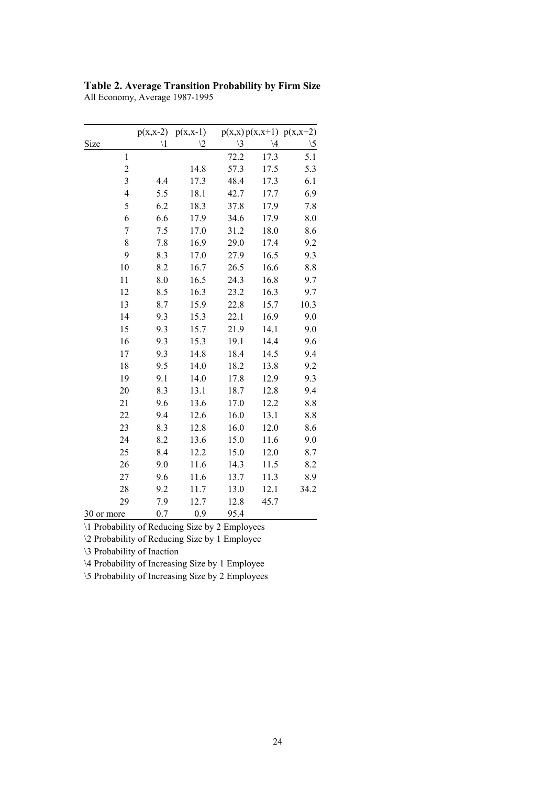| Table 2. Average Transition Probability by Firm Size |
|------------------------------------------------------|
| All Economy, Average 1987-1995                       |

|                          | $p(x,x-2)$    | $p(x,x-1)$     |               |               | $p(x,x) p(x,x+1) p(x,x+2)$ |
|--------------------------|---------------|----------------|---------------|---------------|----------------------------|
| Size                     | $\setminus 1$ | $\backslash 2$ | $\setminus 3$ | $\setminus 4$ | $\backslash 5$             |
| $\mathbf{1}$             |               |                | 72.2          | 17.3          | 5.1                        |
| $\overline{c}$           |               | 14.8           | 57.3          | 17.5          | 5.3                        |
| 3                        | 4.4           | 17.3           | 48.4          | 17.3          | 6.1                        |
| $\overline{\mathcal{L}}$ | 5.5           | 18.1           | 42.7          | 17.7          | 6.9                        |
| 5                        | 6.2           | 18.3           | 37.8          | 17.9          | 7.8                        |
| 6                        | 6.6           | 17.9           | 34.6          | 17.9          | 8.0                        |
| $\overline{7}$           | 7.5           | 17.0           | 31.2          | 18.0          | 8.6                        |
| 8                        | 7.8           | 16.9           | 29.0          | 17.4          | 9.2                        |
| 9                        | 8.3           | 17.0           | 27.9          | 16.5          | 9.3                        |
| 10                       | 8.2           | 16.7           | 26.5          | 16.6          | 8.8                        |
| 11                       | 8.0           | 16.5           | 24.3          | 16.8          | 9.7                        |
| 12                       | 8.5           | 16.3           | 23.2          | 16.3          | 9.7                        |
| 13                       | 8.7           | 15.9           | 22.8          | 15.7          | 10.3                       |
| 14                       | 9.3           | 15.3           | 22.1          | 16.9          | 9.0                        |
| 15                       | 9.3           | 15.7           | 21.9          | 14.1          | 9.0                        |
| 16                       | 9.3           | 15.3           | 19.1          | 14.4          | 9.6                        |
| 17                       | 9.3           | 14.8           | 18.4          | 14.5          | 9.4                        |
| 18                       | 9.5           | 14.0           | 18.2          | 13.8          | 9.2                        |
| 19                       | 9.1           | 14.0           | 17.8          | 12.9          | 9.3                        |
| 20                       | 8.3           | 13.1           | 18.7          | 12.8          | 9.4                        |
| 21                       | 9.6           | 13.6           | 17.0          | 12.2          | 8.8                        |
| 22                       | 9.4           | 12.6           | 16.0          | 13.1          | 8.8                        |
| 23                       | 8.3           | 12.8           | 16.0          | 12.0          | 8.6                        |
| 24                       | 8.2           | 13.6           | 15.0          | 11.6          | 9.0                        |
| 25                       | 8.4           | 12.2           | 15.0          | 12.0          | 8.7                        |
| 26                       | 9.0           | 11.6           | 14.3          | 11.5          | 8.2                        |
| 27                       | 9.6           | 11.6           | 13.7          | 11.3          | 8.9                        |
| 28                       | 9.2           | 11.7           | 13.0          | 12.1          | 34.2                       |
| 29                       | 7.9           | 12.7           | 12.8          | 45.7          |                            |
| 30 or more               | 0.7           | 0.9            | 95.4          |               |                            |

\1 Probability of Reducing Size by 2 Employees \2 Probability of Reducing Size by 1 Employee

\3 Probability of Inaction

\4 Probability of Increasing Size by 1 Employee

\5 Probability of Increasing Size by 2 Employees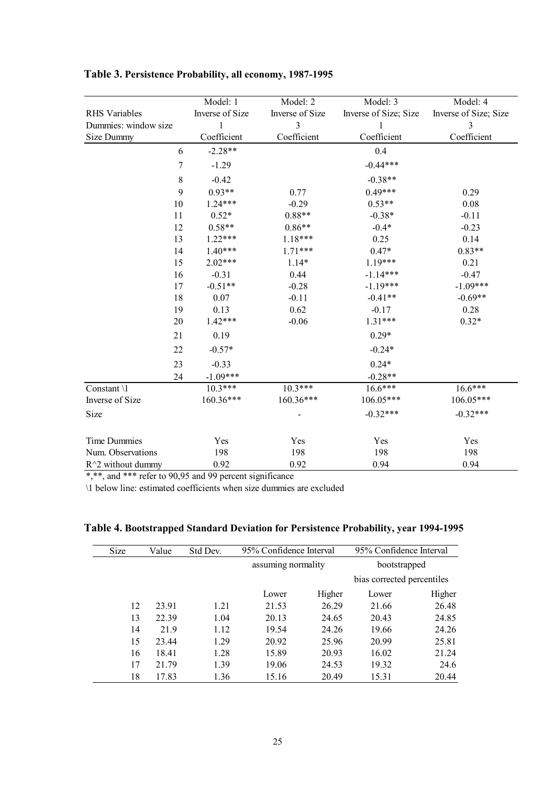|                      | Model: 1             | Model: 2        | Model: 3              | Model: 4              |
|----------------------|----------------------|-----------------|-----------------------|-----------------------|
| <b>RHS</b> Variables | Inverse of Size      | Inverse of Size | Inverse of Size; Size | Inverse of Size; Size |
| Dummies: window size |                      | 3               |                       | 3                     |
| Size Dummy           | Coefficient          | Coefficient     | Coefficient           | Coefficient           |
|                      | $-2.28**$<br>6       |                 | 0.4                   |                       |
|                      | 7<br>$-1.29$         |                 | $-0.44***$            |                       |
|                      | $\,$ $\,$<br>$-0.42$ |                 | $-0.38**$             |                       |
|                      | $0.93**$<br>9        | 0.77            | $0.49***$             | 0.29                  |
| 10                   | $1.24***$            | $-0.29$         | $0.53**$              | 0.08                  |
| 11                   | $0.52*$              | $0.88**$        | $-0.38*$              | $-0.11$               |
| 12                   | $0.58**$             | $0.86**$        | $-0.4*$               | $-0.23$               |
| 13                   | $1.22***$            | 1.18***         | 0.25                  | 0.14                  |
| 14                   | $1.40***$            | $1.71***$       | $0.47*$               | $0.83**$              |
| 15                   | $2.02***$            | $1.14*$         | $1.19***$             | 0.21                  |
| 16                   | $-0.31$              | 0.44            | $-1.14***$            | $-0.47$               |
| 17                   | $-0.51**$            | $-0.28$         | $-1.19***$            | $-1.09***$            |
| 18                   | 0.07                 | $-0.11$         | $-0.41**$             | $-0.69**$             |
| 19                   | 0.13                 | 0.62            | $-0.17$               | 0.28                  |
| 20                   | $1.42***$            | $-0.06$         | $1.31***$             | $0.32*$               |
| 21                   | 0.19                 |                 | $0.29*$               |                       |
| 22                   | $-0.57*$             |                 | $-0.24*$              |                       |
| 23                   | $-0.33$              |                 | $0.24*$               |                       |
| 24                   | $-1.09***$           |                 | $-0.28**$             |                       |
| Constant \1          | $10.3***$            | $10.3***$       | $16.6***$             | $16.6***$             |
| Inverse of Size      | 160.36***            | 160.36***       | 106.05***             | 106.05***             |
| Size                 |                      |                 | $-0.32***$            | $-0.32***$            |
|                      |                      |                 |                       |                       |
| Time Dummies         | Yes                  | Yes             | Yes                   | Yes                   |
| Num. Observations    | 198                  | 198             | 198                   | 198                   |
| $R^2$ without dummy  | 0.92                 | 0.92            | 0.94                  | 0.94                  |

### **Table 3. Persistence Probability, all economy, 1987-1995**

\*,\*\*, and \*\*\* refer to 90,95 and 99 percent significance

\1 below line: estimated coefficients when size dummies are excluded

| Size | Value | Std Dev. |                    | 95% Confidence Interval |                            | 95% Confidence Interval |
|------|-------|----------|--------------------|-------------------------|----------------------------|-------------------------|
|      |       |          | assuming normality |                         | bootstrapped               |                         |
|      |       |          |                    |                         | bias corrected percentiles |                         |
|      |       |          | Lower              | Higher                  | Lower                      | Higher                  |
| 12   | 23.91 | 1.21     | 21.53              | 26.29                   | 21.66                      | 26.48                   |
| 13   | 22.39 | 1.04     | 20.13              | 24.65                   | 20.43                      | 24.85                   |
| 14   | 21.9  | 1.12     | 19.54              | 24.26                   | 19.66                      | 24.26                   |
| 15   | 23.44 | 1.29     | 20.92              | 25.96                   | 20.99                      | 25.81                   |
| 16   | 18.41 | 1.28     | 15.89              | 20.93                   | 16.02                      | 21.24                   |
| 17   | 21.79 | 1.39     | 19.06              | 24.53                   | 19.32                      | 24.6                    |
| 18   | 17.83 | 1.36     | 15.16              | 20.49                   | 15.31                      | 20.44                   |

|  |  |  | Table 4. Bootstrapped Standard Deviation for Persistence Probability, year 1994-1995 |
|--|--|--|--------------------------------------------------------------------------------------|
|  |  |  |                                                                                      |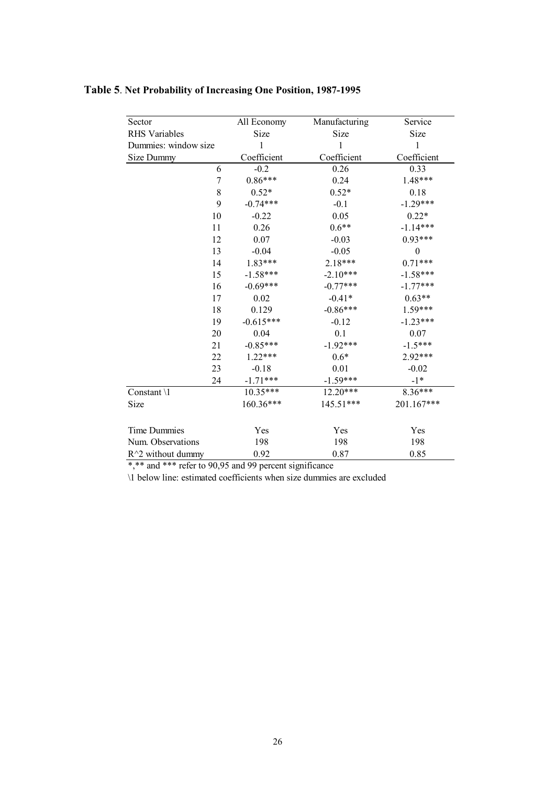| Sector                 | All Economy | Manufacturing | Service          |
|------------------------|-------------|---------------|------------------|
| <b>RHS</b> Variables   | Size        | Size          | Size             |
| Dummies: window size   | 1           | 1             | 1                |
| Size Dummy             | Coefficient | Coefficient   | Coefficient      |
| 6                      | $-0.2$      | 0.26          | 0.33             |
| 7                      | $0.86***$   | 0.24          | 1.48***          |
| 8                      | $0.52*$     | $0.52*$       | 0.18             |
| 9                      | $-0.74***$  | $-0.1$        | $-1.29***$       |
| 10                     | $-0.22$     | 0.05          | $0.22*$          |
| 11                     | 0.26        | $0.6**$       | $-1.14***$       |
| 12                     | 0.07        | $-0.03$       | $0.93***$        |
| 13                     | $-0.04$     | $-0.05$       | $\boldsymbol{0}$ |
| 14                     | 1.83***     | 2.18***       | $0.71***$        |
| 15                     | $-1.58***$  | $-2.10***$    | $-1.58***$       |
| 16                     | $-0.69***$  | $-0.77***$    | $-1.77***$       |
| 17                     | 0.02        | $-0.41*$      | $0.63**$         |
| 18                     | 0.129       | $-0.86***$    | 1.59***          |
| 19                     | $-0.615***$ | $-0.12$       | $-1.23***$       |
| 20                     | 0.04        | 0.1           | 0.07             |
| 21                     | $-0.85***$  | $-1.92***$    | $-1.5***$        |
| 22                     | $1.22***$   | $0.6*$        | 2.92***          |
| 23                     | $-0.18$     | 0.01          | $-0.02$          |
| 24                     | $-1.71***$  | $-1.59***$    | $-1*$            |
| Constant $\setminus$ 1 | $10.35***$  | 12.20***      | $8.36***$        |
| Size                   | 160.36***   | 145.51***     | 201.167***       |
|                        |             |               |                  |
| <b>Time Dummies</b>    | Yes         | Yes           | Yes              |
| Num. Observations      | 198         | 198           | 198              |
| $R^2$ without dummy    | 0.92        | 0.87          | 0.85             |

## **Table 5**. **Net Probability of Increasing One Position, 1987-1995**

\*,\*\* and \*\*\* refer to 90,95 and 99 percent significance

\1 below line: estimated coefficients when size dummies are excluded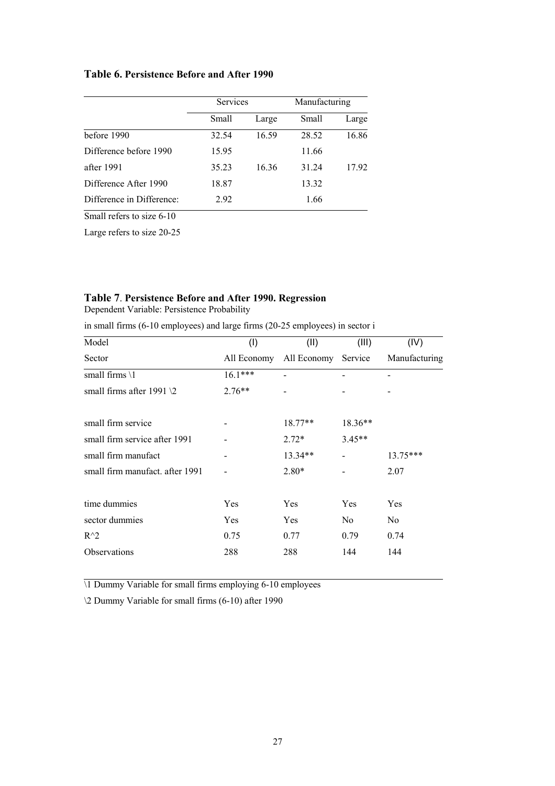#### **Table 6. Persistence Before and After 1990**

|                           | Services |       | Manufacturing |       |
|---------------------------|----------|-------|---------------|-------|
|                           | Small    | Large | Small         | Large |
| before 1990               | 32.54    | 16.59 | 28.52         | 16.86 |
| Difference before 1990    | 15.95    |       | 11.66         |       |
| after 1991                | 35.23    | 16.36 | 31.24         | 17.92 |
| Difference After 1990     | 18.87    |       | 13.32         |       |
| Difference in Difference: | 2.92     |       | 1.66          |       |

Small refers to size 6-10

Large refers to size 20-25

#### **Table 7**. **Persistence Before and After 1990. Regression**

Dependent Variable: Persistence Probability

in small firms (6-10 employees) and large firms (20-25 employees) in sector i

| Model                             | (1)         | (II)        | (III)          | (IV)          |
|-----------------------------------|-------------|-------------|----------------|---------------|
| Sector                            | All Economy | All Economy | Service        | Manufacturing |
| small firms $\setminus$ 1         | $16.1***$   |             |                |               |
| small firms after 1991 $\sqrt{2}$ | $2.76**$    |             |                |               |
| small firm service                |             | $18.77**$   | $18.36**$      |               |
| small firm service after 1991     |             | $2.72*$     | $3.45**$       |               |
| small firm manufact               |             | 13.34**     |                | $13.75***$    |
| small firm manufact, after 1991   |             | $2.80*$     |                | 2.07          |
| time dummies                      | Yes         | Yes         | Yes            | Yes           |
| sector dummies                    | Yes         | Yes         | N <sub>0</sub> | No            |
| $R^{\wedge}2$                     | 0.75        | 0.77        | 0.79           | 0.74          |
| Observations                      | 288         | 288         | 144            | 144           |

\1 Dummy Variable for small firms employing 6-10 employees

\2 Dummy Variable for small firms (6-10) after 1990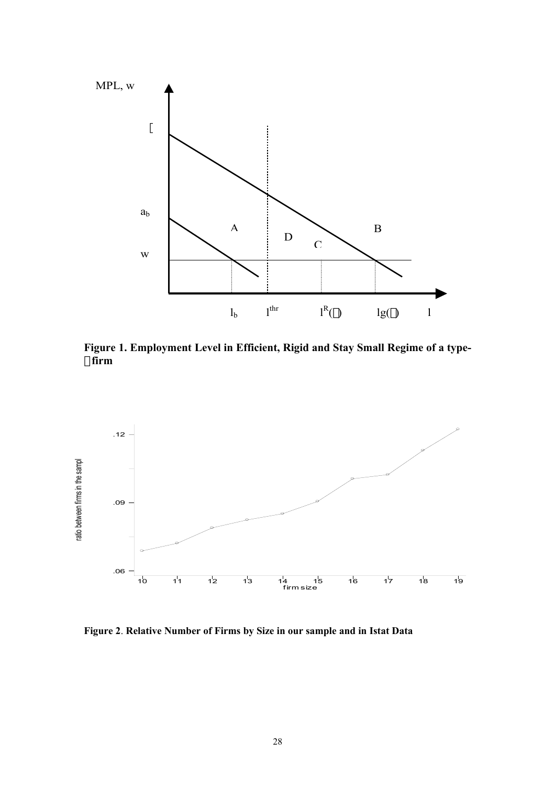

**Figure 1. Employment Level in Efficient, Rigid and Stay Small Regime of a type firm** 



**Figure 2**. **Relative Number of Firms by Size in our sample and in Istat Data**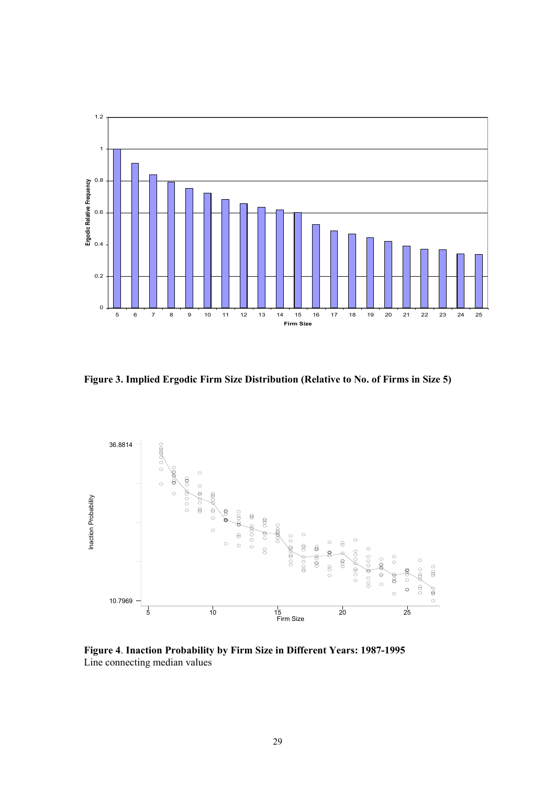

**Figure 3. Implied Ergodic Firm Size Distribution (Relative to No. of Firms in Size 5)**



**Figure 4**. **Inaction Probability by Firm Size in Different Years: 1987-1995**  Line connecting median values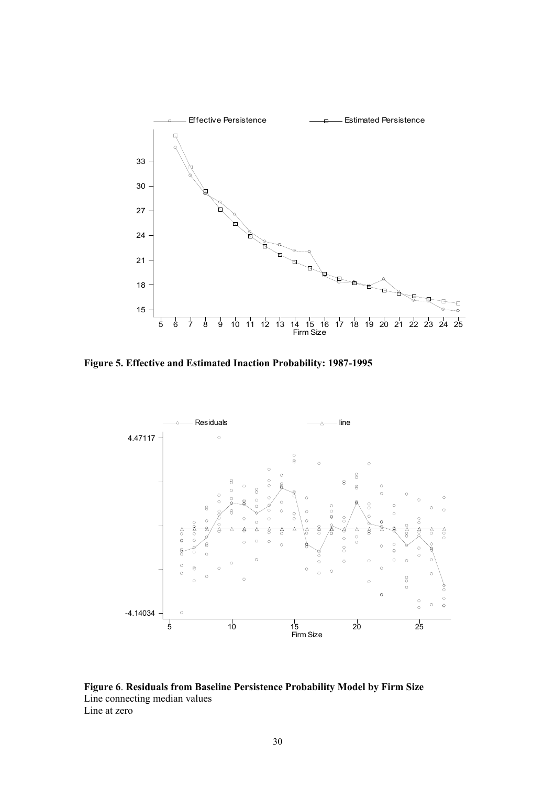

**Figure 5. Effective and Estimated Inaction Probability: 1987-1995** 



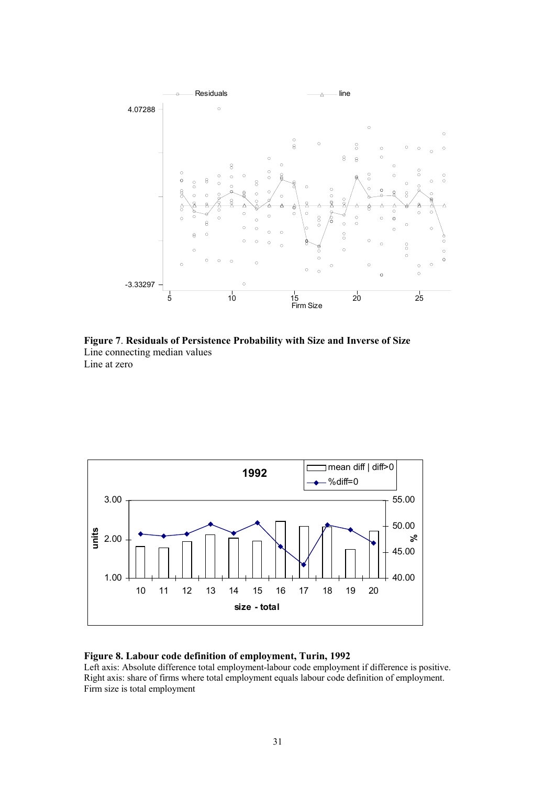

**Figure 7**. **Residuals of Persistence Probability with Size and Inverse of Size** Line connecting median values Line at zero



#### **Figure 8. Labour code definition of employment, Turin, 1992**

Left axis: Absolute difference total employment-labour code employment if difference is positive. Right axis: share of firms where total employment equals labour code definition of employment. Firm size is total employment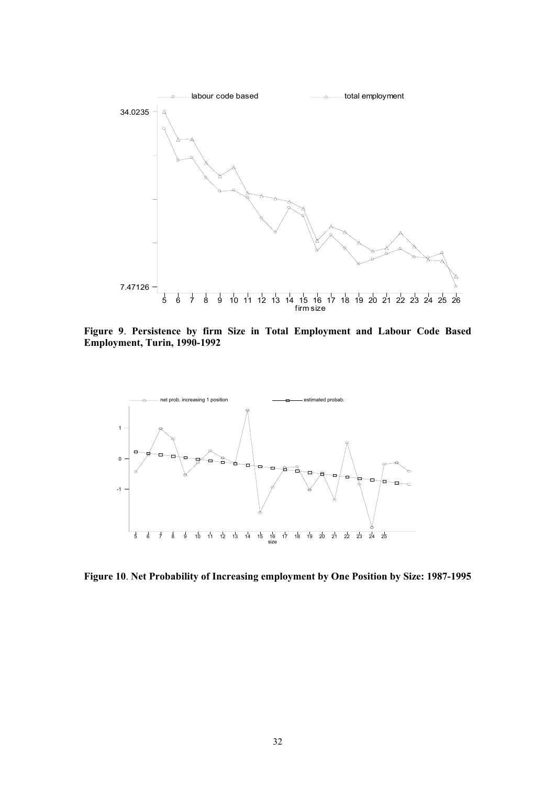

**Figure 9**. **Persistence by firm Size in Total Employment and Labour Code Based Employment, Turin, 1990-1992** 



**Figure 10**. **Net Probability of Increasing employment by One Position by Size: 1987-1995**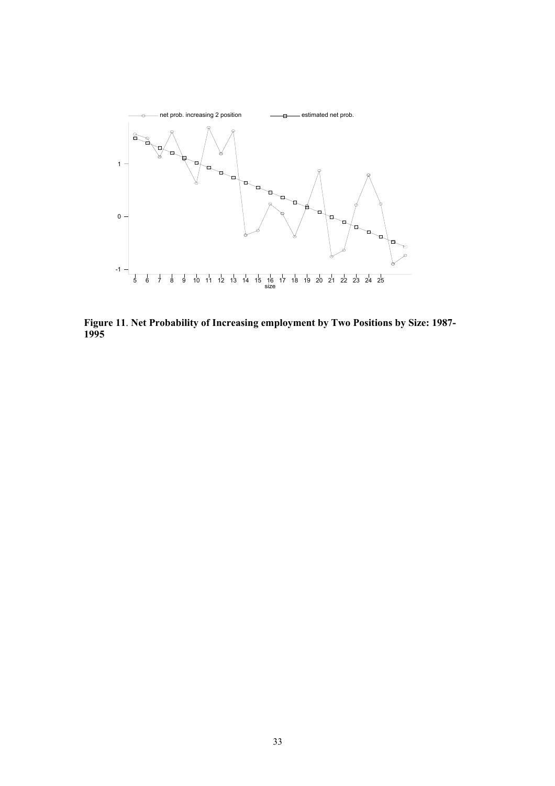

**Figure 11**. **Net Probability of Increasing employment by Two Positions by Size: 1987-**